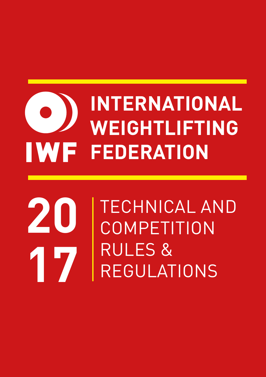# **INTERNATIONAL WEIGHTLIFTING IWF FEDERATION**

## TECHNICAL AND **COMPETITION** RULES & REGULATIONS **20 17**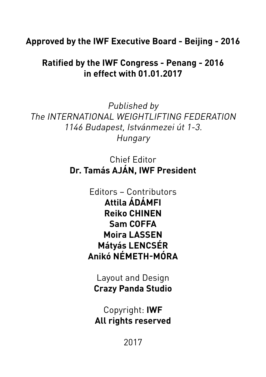## **Approved by the IWF Executive Board - Beijing - 2016**

**Ratified by the IWF Congress - Penang - 2016 in effect with 01.01.2017**

Published by The INTERNATIONAL WEIGHTLIFTING FEDERATION 1146 Budapest, Istvánmezei út 1-3. Hungary

> Chief Editor **Dr. Tamás AJÁN, IWF President**

> > Editors – Contributors **Attila ÁDÁMFI Reiko CHINEN Sam COFFA Moira LASSEN Mátyás LENCSÉR Anikó NÉMETH-MÓRA**

Layout and Design **Crazy Panda Studio**

Copyright: **IWF All rights reserved**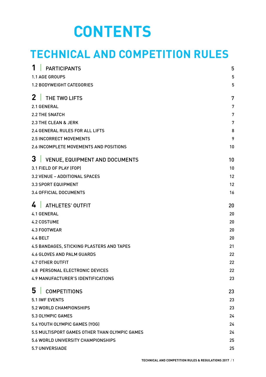# **CONTENTS**

## **TECHNICAL AND COMPETITION RULES**

|                                               | 5  |  |  |
|-----------------------------------------------|----|--|--|
| 1<br><b>PARTICIPANTS</b>                      |    |  |  |
| 1.1 AGE GROUPS                                |    |  |  |
| <b>1.2 BODYWEIGHT CATEGORIES</b>              | 5  |  |  |
| $\mathbf{2}^-$<br>THE TWO LIFTS               | 7  |  |  |
| 2.1 GENERAL                                   | 7  |  |  |
| <b>2.2 THE SNATCH</b>                         | 7  |  |  |
| 2.3 THE CLEAN & JERK                          | 7  |  |  |
| 2.4 GENERAL RULES FOR ALL LIFTS               | 8  |  |  |
| <b>2.5 INCORRECT MOVEMENTS</b>                | 9  |  |  |
| 2.6 INCOMPLETE MOVEMENTS AND POSITIONS        | 10 |  |  |
| 3<br><b>VENUE, EQUIPMENT AND DOCUMENTS</b>    | 10 |  |  |
| 3.1 FIELD OF PLAY (FOP)                       | 10 |  |  |
| 3.2 VENUE - ADDITIONAL SPACES                 | 12 |  |  |
| 3.3 SPORT EQUIPMENT                           | 12 |  |  |
| <b>3.4 OFFICIAL DOCUMENTS</b>                 | 16 |  |  |
| 4<br><b>ATHLETES' OUTFIT</b>                  | 20 |  |  |
| <b>4.1 GENERAL</b>                            | 20 |  |  |
| <b>4.2 COSTUME</b>                            | 20 |  |  |
| <b>4.3 FOOTWEAR</b>                           | 20 |  |  |
| 4.4 BELT                                      | 20 |  |  |
| 4.5 BANDAGES, STICKING PLASTERS AND TAPES     | 21 |  |  |
| <b>4.6 GLOVES AND PALM GUARDS</b>             | 22 |  |  |
| <b>4.7 OTHER OUTFIT</b>                       | 22 |  |  |
| <b>4.8 PERSONAL ELECTRONIC DEVICES</b>        | 22 |  |  |
| <b>4.9 MANUFACTURER'S IDENTIFICATIONS</b>     | 23 |  |  |
| 5<br><b>COMPETITIONS</b>                      | 23 |  |  |
| <b>5.1 IWF EVENTS</b>                         | 23 |  |  |
| 5.2 WORLD CHAMPIONSHIPS                       | 23 |  |  |
| <b>5.3 OLYMPIC GAMES</b>                      | 24 |  |  |
| 5.4 YOUTH OLYMPIC GAMES (YOG)                 | 24 |  |  |
| 5.5 MULTISPORT GAMES OTHER THAN OLYMPIC GAMES | 24 |  |  |
| 5.6 WORLD UNIVERSITY CHAMPIONSHIPS            | 25 |  |  |
| 5.7 UNIVERSIADE                               | 25 |  |  |
|                                               |    |  |  |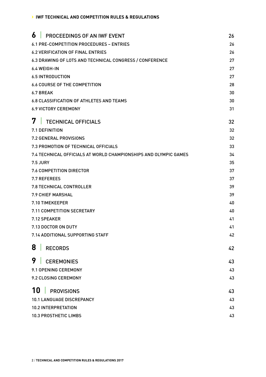| 6<br>PROCEEDINGS OF AN IWF EVENT                                 | 26 |
|------------------------------------------------------------------|----|
| 6.1 PRE-COMPETITION PROCEDURES - ENTRIES                         | 26 |
| <b>6.2 VERIFICATION OF FINAL ENTRIES</b>                         | 26 |
| 6.3 DRAWING OF LOTS AND TECHNICAL CONGRESS / CONFERENCE          | 27 |
| 6.4 WEIGH-IN                                                     | 27 |
| <b>6.5 INTRODUCTION</b>                                          | 27 |
| <b>6.6 COURSE OF THE COMPETITION</b>                             | 28 |
| 6.7 BREAK                                                        | 30 |
| <b>6.8 CLASSIFICATION OF ATHLETES AND TEAMS</b>                  | 30 |
| <b>6.9 VICTORY CEREMONY</b>                                      | 31 |
| 7<br><b>TECHNICAL OFFICIALS</b>                                  | 32 |
| 7.1 DEFINITION                                                   | 32 |
| <b>7.2 GENERAL PROVISIONS</b>                                    | 32 |
| 7.3 PROMOTION OF TECHNICAL OFFICIALS                             | 33 |
| 7.4 TECHNICAL OFFICIALS AT WORLD CHAMPIONSHIPS AND OLYMPIC GAMES | 34 |
| <b>7.5 JURY</b>                                                  | 35 |
| 7.6 COMPETITION DIRECTOR                                         | 37 |
| <b>7.7 REFEREES</b>                                              | 37 |
| 7.8 TECHNICAL CONTROLLER                                         | 39 |
| <b>7.9 CHIEF MARSHAL</b>                                         | 39 |
| 7.10 TIMEKEEPER                                                  | 40 |
| 7.11 COMPETITION SECRETARY                                       | 40 |
| 7.12 SPEAKER                                                     | 41 |
| 7.13 DOCTOR ON DUTY                                              | 41 |
| 7.14 ADDITIONAL SUPPORTING STAFF                                 | 42 |
| 8<br><b>RECORDS</b>                                              | 42 |
| 9<br><b>CEREMONIES</b>                                           | 43 |
| 9.1 OPENING CEREMONY                                             | 43 |
| 9.2 CLOSING CEREMONY                                             | 43 |
| 10<br><b>PROVISIONS</b>                                          | 43 |
| <b>10.1 LANGUAGE DISCREPANCY</b>                                 | 43 |
| 10.2 INTERPRETATION                                              | 43 |
| 10.3 PROSTHETIC LIMBS                                            | 43 |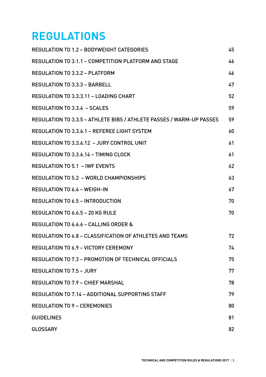## **REGULATIONS**

| <b>REGULATION TO 1.2 - BODYWEIGHT CATEGORIES</b>                     | 45 |
|----------------------------------------------------------------------|----|
| REGULATION TO 3.1.1 - COMPETITION PLATFORM AND STAGE                 | 46 |
| <b>REGULATION TO 3.3.2 - PLATFORM</b>                                | 46 |
| <b>REGULATION TO 3.3.3 - BARBELL</b>                                 | 47 |
| <b>REGULATION TO 3.3.3.11 - LOADING CHART</b>                        | 52 |
| <b>REGULATION TO 3.3.4 - SCALES</b>                                  | 59 |
| REGULATION TO 3.3.5 - ATHLETE BIBS / ATHLETE PASSES / WARM-UP PASSES | 59 |
| REGULATION TO 3.3.6.1 - REFEREE LIGHT SYSTEM                         | 60 |
| REGULATION TO 3.3.6.12 - JURY CONTROL UNIT                           | 61 |
| <b>REGULATION TO 3.3.6.14 - TIMING CLOCK</b>                         | 61 |
| <b>REGULATION TO 5.1 - IWF EVENTS</b>                                | 62 |
| <b>REGULATION TO 5.2 - WORLD CHAMPIONSHIPS</b>                       | 63 |
| <b>REGULATION TO 6.4 - WEIGH-IN</b>                                  | 67 |
| <b>REGULATION TO 6.5 - INTRODUCTION</b>                              | 70 |
| <b>REGULATION TO 6.6.5 - 20 KG RULE</b>                              | 70 |
| REGULATION TO 6.6.6 - CALLING ORDER &                                |    |
| REGULATION TO 6.8 - CLASSIFICATION OF ATHLETES AND TEAMS             | 72 |
| <b>REGULATION TO 6.9 - VICTORY CEREMONY</b>                          | 74 |
| <b>REGULATION TO 7.3 - PROMOTION OF TECHNICAL OFFICIALS</b>          | 75 |
| <b>REGULATION TO 7.5 - JURY</b>                                      | 77 |
| <b>REGULATION TO 7.9 - CHIEF MARSHAL</b>                             | 78 |
| REGULATION TO 7.14 - ADDITIONAL SUPPORTING STAFF                     | 79 |
| <b>REGULATION TO 9 - CEREMONIES</b>                                  | 80 |
| <b>GUIDELINES</b>                                                    | 81 |
| <b>GLOSSARY</b>                                                      | 82 |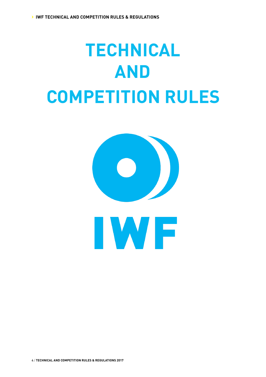# **TECHNICAL AND COMPETITION RULES**

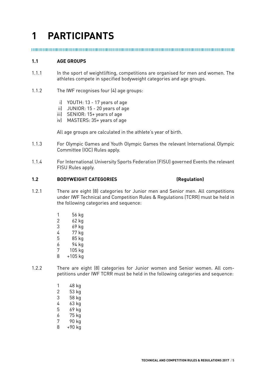## **1 PARTICIPANTS**

### **1.1 AGE GROUPS**

- 1.1.1 In the sport of weightlifting, competitions are organised for men and women. The athletes compete in specified bodyweight categories and age groups.
- 1.1.2 The IWF recognises four (4) age groups:
	- i) YOUTH: 13 17 years of age
	- ii) JUNIOR: 15 20 years of age
	- iii) SENIOR: 15+ years of age
	- iv) MASTERS: 35+ years of age

All age groups are calculated in the athlete's year of birth.

- 1.1.3 For Olympic Games and Youth Olympic Games the relevant International Olympic Committee (IOC) Rules apply.
- 1.1.4 For International University Sports Federation (FISU) governed Events the relevant FISU Rules apply.

### **1.2 BODYWEIGHT CATEGORIES (Regulation)**

- 1.2.1 There are eight (8) categories for Junior men and Senior men. All competitions under IWF Technical and Competition Rules & Regulations (TCRR) must be held in the following categories and sequence:
	- 1 56 kg
	- 2 62 kg
	- 3 69 kg
	- 4 77 kg
	- 5 85 kg
	- 6 94 kg
	- 7 105 kg
	- 8 +105 kg
- 1.2.2 There are eight (8) categories for Junior women and Senior women. All competitions under IWF TCRR must be held in the following categories and sequence:
	- 1 48 kg 2 53 kg 3 58 kg 4 63 kg 5 69 kg 6 75 kg 7 90 kg 8 +90 kg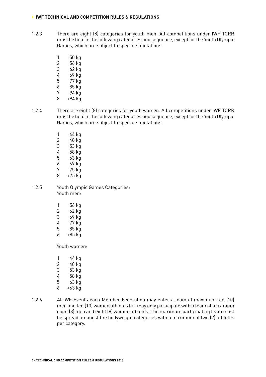- 1.2.3 There are eight (8) categories for youth men. All competitions under IWF TCRR must be held in the following categories and sequence, except for the Youth Olympic Games, which are subject to special stipulations.
	- 1 50 kg
	- 2 56 kg
	- 3 62 kg
	- 4 69 kg
	- 5 77 kg
	- 6 85 kg
	- 7 94 kg
	- 8 +94 kg
- 1.2.4 There are eight (8) categories for youth women. All competitions under IWF TCRR must be held in the following categories and sequence, except for the Youth Olympic Games, which are subject to special stipulations.
	- 1 44 kg 2 48 kg 3 53 kg 4 58 kg 5 63 kg 6 69 kg 7 75 kg 8 +75 kg
- 1.2.5 Youth Olympic Games Categories: Youth men:
	- 1 56 kg
	- 2 62 kg
	- 3 69 kg
	- 4 77 kg
	- 5 85 kg
	- 6 +85 kg

Youth women:

| 1 | 44 kg  |
|---|--------|
| 2 | 48 kg  |
| 3 | 53 kg  |
| 4 | 58 kg  |
| 5 | 63 kg  |
| 6 | +63 kg |

1.2.6 At IWF Events each Member Federation may enter a team of maximum ten (10) men and ten (10) women athletes but may only participate with a team of maximum eight (8) men and eight (8) women athletes. The maximum participating team must be spread amongst the bodyweight categories with a maximum of two (2) athletes per category.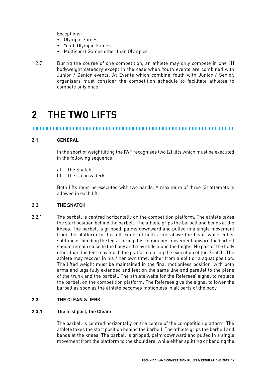Exceptions:

- Olympic Games
- Youth Olympic Games
- Multisport Games other than Olympics
- 1.2.7 During the course of one competition, an athlete may only compete in one (1) bodyweight category except in the case when Youth events are combined with Junior / Senior events. At Events which combine Youth with Junior / Senior, organisers must consider the competition schedule to facilitate athletes to compete only once.

## **2 THE TWO LIFTS**

#### **2.1 GENERAL**

In the sport of weightlifting the IWF recognises two (2) lifts which must be executed in the following sequence:

- a) The Snatch
- b) The Clean & Jerk

Both lifts must be executed with two hands. A maximum of three (3) attempts is allowed in each lift.

#### **2.2 THE SNATCH**

2.2.1 The barbell is centred horizontally on the competition platform. The athlete takes the start position behind the barbell. The athlete grips the barbell and bends at the knees. The barbell is gripped, palms downward and pulled in a single movement from the platform to the full extent of both arms above the head, while either splitting or bending the legs. During this continuous movement upward the barbell should remain close to the body and may slide along the thighs. No part of the body other than the feet may touch the platform during the execution of the Snatch. The athlete may recover in his / her own time, either from a split or a squat position. The lifted weight must be maintained in the final motionless position, with both arms and legs fully extended and feet on the same line and parallel to the plane of the trunk and the barbell. The athlete waits for the Referees' signal to replace the barbell on the competition platform. The Referees give the signal to lower the barbell as soon as the athlete becomes motionless in all parts of the body.

#### **2.3 THE CLEAN & JERK**

#### **2.3.1 The first part, the Clean:**

The barbell is centred horizontally on the centre of the competition platform. The athlete takes the start position behind the barbell. The athlete grips the barbell and bends at the knees. The barbell is gripped, palm downward and pulled in a single movement from the platform to the shoulders, while either splitting or bending the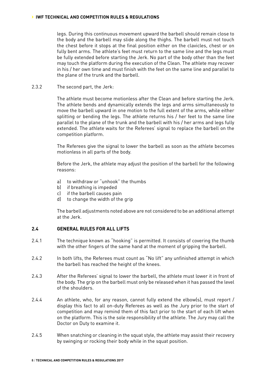legs. During this continuous movement upward the barbell should remain close to the body and the barbell may slide along the thighs. The barbell must not touch the chest before it stops at the final position either on the clavicles, chest or on fully bent arms. The athlete's feet must return to the same line and the legs must be fully extended before starting the Jerk. No part of the body other than the feet may touch the platform during the execution of the Clean. The athlete may recover in his / her own time and must finish with the feet on the same line and parallel to the plane of the trunk and the barbell.

2.3.2 The second part, the Jerk:

The athlete must become motionless after the Clean and before starting the Jerk. The athlete bends and dynamically extends the legs and arms simultaneously to move the barbell upward in one motion to the full extent of the arms, while either splitting or bending the legs. The athlete returns his / her feet to the same line parallel to the plane of the trunk and the barbell with his / her arms and legs fully extended. The athlete waits for the Referees' signal to replace the barbell on the competition platform.

The Referees give the signal to lower the barbell as soon as the athlete becomes motionless in all parts of the body.

Before the Jerk, the athlete may adjust the position of the barbell for the following reasons:

- a) to withdraw or "unhook" the thumbs
- b) if breathing is impeded
- c) if the barbell causes pain
- d) to change the width of the grip

The barbell adjustments noted above are not considered to be an additional attempt at the Jerk.

### **2.4 GENERAL RULES FOR ALL LIFTS**

- 2.4.1 The technique known as "hooking" is permitted. It consists of covering the thumb with the other fingers of the same hand at the moment of gripping the barbell.
- 2.4.2 In both lifts, the Referees must count as "No lift" any unfinished attempt in which the barbell has reached the height of the knees.
- 2.4.3 After the Referees' signal to lower the barbell, the athlete must lower it in front of the body. The grip on the barbell must only be released when it has passed the level of the shoulders.
- 2.4.4 An athlete, who, for any reason, cannot fully extend the elbow(s), must report / display this fact to all on-duty Referees as well as the Jury prior to the start of competition and may remind them of this fact prior to the start of each lift when on the platform. This is the sole responsibility of the athlete. The Jury may call the Doctor on Duty to examine it.
- 2.4.5 When snatching or cleaning in the squat style, the athlete may assist their recovery by swinging or rocking their body while in the squat position.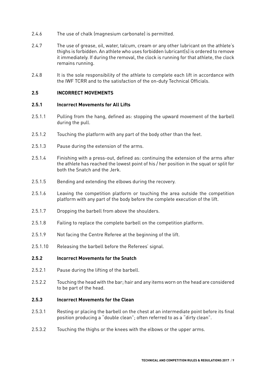- 2.4.6 The use of chalk (magnesium carbonate) is permitted.
- 2.4.7 The use of grease, oil, water, talcum, cream or any other lubricant on the athlete's thighs is forbidden. An athlete who uses forbidden lubricant(s) is ordered to remove it immediately. If during the removal, the clock is running for that athlete, the clock remains running.
- 2.4.8 It is the sole responsibility of the athlete to complete each lift in accordance with the IWF TCRR and to the satisfaction of the on-duty Technical Officials.

#### **2.5 INCORRECT MOVEMENTS**

#### **2.5.1 Incorrect Movements for All Lifts**

- 2.5.1.1 Pulling from the hang, defined as: stopping the upward movement of the barbell during the pull.
- 2.5.1.2 Touching the platform with any part of the body other than the feet.
- 2.5.1.3 Pause during the extension of the arms.
- 2.5.1.4 Finishing with a press-out, defined as: continuing the extension of the arms after the athlete has reached the lowest point of his / her position in the squat or split for both the Snatch and the Jerk.
- 2.5.1.5 Bending and extending the elbows during the recovery.
- 2.5.1.6 Leaving the competition platform or touching the area outside the competition platform with any part of the body before the complete execution of the lift.
- 2.5.1.7 Dropping the barbell from above the shoulders.
- 2.5.1.8 Failing to replace the complete barbell on the competition platform.
- 2.5.1.9 Not facing the Centre Referee at the beginning of the lift.
- 2.5.1.10 Releasing the barbell before the Referees' signal.

#### **2.5.2 Incorrect Movements for the Snatch**

- 2.5.2.1 Pause during the lifting of the barbell.
- 2.5.2.2 Touching the head with the bar; hair and any items worn on the head are considered to be part of the head.

#### **2.5.3 Incorrect Movements for the Clean**

- 2.5.3.1 Resting or placing the barbell on the chest at an intermediate point before its final position producing a "double clean"; often referred to as a "dirty clean".
- 2.5.3.2 Touching the thighs or the knees with the elbows or the upper arms.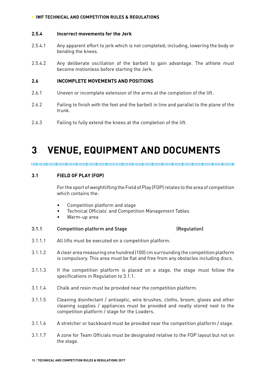#### **2.5.4 Incorrect movements for the Jerk**

- 2.5.4.1 Any apparent effort to jerk which is not completed; including, lowering the body or bending the knees.
- 2.5.4.2 Any deliberate oscillation of the barbell to gain advantage. The athlete must become motionless before starting the Jerk.

#### **2.6 INCOMPLETE MOVEMENTS AND POSITIONS**

- 2.6.1 Uneven or incomplete extension of the arms at the completion of the lift.
- 2.6.2 Failing to finish with the feet and the barbell in line and parallel to the plane of the trunk.
- 2.6.3 Failing to fully extend the knees at the completion of the lift.

## **3 VENUE, EQUIPMENT AND DOCUMENTS**

#### ,,,,,,,,,,,,,,,,,,,,,,,,,,,,,,,,,,, ,,,,,,,,,,,,,,,,,,,,,,,,,,,,,,

### **3.1 FIELD OF PLAY (FOP)**

For the sport of weightlifting the Field of Play (FOP) relates to the area of competition which contains the:

- Competition platform and stage
- Technical Officials' and Competition Management Tables
- Warm-up area

#### 3.1.1 Competition platform and Stage (Regulation)

- 3.1.1.1 All lifts must be executed on a competition platform.
- 3.1.1.2 A clear area measuring one hundred (100) cm surrounding the competition platform is compulsory. This area must be flat and free from any obstacles including discs.
- 3.1.1.3 If the competition platform is placed on a stage, the stage must follow the specifications in Regulation to 3.1.1.
- 3.1.1.4 Chalk and rosin must be provided near the competition platform.
- 3.1.1.5 Cleaning disinfectant / antiseptic, wire brushes, cloths, broom, gloves and other cleaning supplies / appliances must be provided and neatly stored next to the competition platform / stage for the Loaders.
- 3.1.1.6 A stretcher or backboard must be provided near the competition platform / stage.
- 3.1.1.7 A zone for Team Officials must be designated relative to the FOP layout but not on the stage.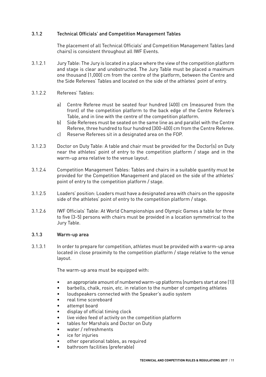### 3.1.2 Technical Officials' and Competition Management Tables

The placement of all Technical Officials' and Competition Management Tables (and chairs) is consistent throughout all IWF Events.

- 3.1.2.1 Jury Table: The Jury is located in a place where the view of the competition platform and stage is clear and unobstructed. The Jury Table must be placed a maximum one thousand (1,000) cm from the centre of the platform, between the Centre and the Side Referees' Tables and located on the side of the athletes' point of entry.
- 3.1.2.2 Referees' Tables:
	- a) Centre Referee must be seated four hundred (400) cm (measured from the front) of the competition platform to the back edge of the Centre Referee's Table, and in line with the centre of the competition platform.
	- b) Side Referees must be seated on the same line as and parallel with the Centre Referee, three hundred to four hundred (300-400) cm from the Centre Referee.
	- c) Reserve Referees sit in a designated area on the FOP.
- 3.1.2.3 Doctor on Duty Table: A table and chair must be provided for the Doctor(s) on Duty near the athletes' point of entry to the competition platform / stage and in the warm-up area relative to the venue layout.
- 3.1.2.4 Competition Management Tables: Tables and chairs in a suitable quantity must be provided for the Competition Management and placed on the side of the athletes' point of entry to the competition platform / stage.
- 3.1.2.5 Loaders' position: Loaders must have a designated area with chairs on the opposite side of the athletes' point of entry to the competition platform / stage.
- 3.1.2.6 IWF Officials' Table: At World Championships and Olympic Games a table for three to five (3-5) persons with chairs must be provided in a location symmetrical to the Jury Table.

### 3.1.3 Warm-up area

3.1.3.1 In order to prepare for competition, athletes must be provided with a warm-up area located in close proximity to the competition platform / stage relative to the venue layout.

The warm-up area must be equipped with:

- an appropriate amount of numbered warm-up platforms (numbers start at one (1))
- barbells, chalk, rosin, etc. in relation to the number of competing athletes
- loudspeakers connected with the Speaker's audio system
- real time scoreboard
- attempt board
- display of official timing clock
- live video feed of activity on the competition platform
- tables for Marshals and Doctor on Duty
- water / refreshments
- ice for injuries
- other operational tables, as required
- bathroom facilities (preferable)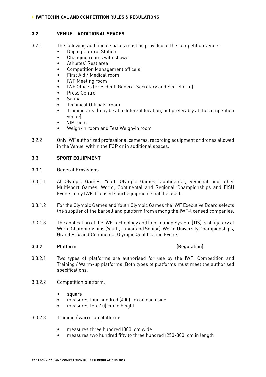#### **3.2 VENUE – ADDITIONAL SPACES**

- 3.2.1 The following additional spaces must be provided at the competition venue:
	- Doping Control Station
	- Changing rooms with shower
	- Athletes' Rest area
	- Competition Management office(s)
	- First Aid / Medical room
	- IWF Meeting room
	- IWF Offices (President, General Secretary and Secretariat)
	- Press Centre
	- Sauna
	- Technical Officials' room
	- Training area (may be at a different location, but preferably at the competition venue)
	- VIP room
	- Weigh-in room and Test Weigh-in room
- 3.2.2 Only IWF authorized professional cameras, recording equipment or drones allowed in the Venue, within the FOP or in additional spaces.

#### **3.3 SPORT EQUIPMENT**

#### 3.3.1 General Provisions

- 3.3.1.1 At Olympic Games, Youth Olympic Games, Continental, Regional and other Multisport Games, World, Continental and Regional Championships and FISU Events, only IWF-licensed sport equipment shall be used.
- 3.3.1.2 For the Olympic Games and Youth Olympic Games the IWF Executive Board selects the supplier of the barbell and platform from among the IWF-licensed companies.
- 3.3.1.3 The application of the IWF Technology and Information System (TIS) is obligatory at World Championships (Youth, Junior and Senior), World University Championships, Grand Prix and Continental Olympic Qualification Events.

#### 3.3.2 Platform (Regulation)

- 3.3.2.1 Two types of platforms are authorised for use by the IWF: Competition and Training / Warm-up platforms. Both types of platforms must meet the authorised specifications.
- 3.3.2.2 Competition platform:
	- square
	- measures four hundred (400) cm on each side
	- measures ten (10) cm in height

#### 3.3.2.3 Training / warm-up platform:

- measures three hundred (300) cm wide
- measures two hundred fifty to three hundred (250-300) cm in length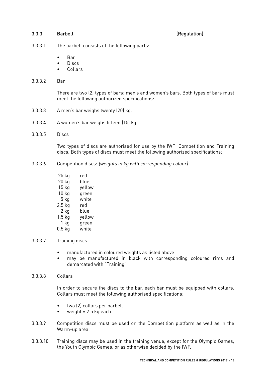#### 3.3.3 Barbell (Regulation)

- 3.3.3.1 The barbell consists of the following parts:
	- Bar
	- Discs
	- Collars

#### 3.3.3.2 Bar

There are two (2) types of bars: men's and women's bars. Both types of bars must meet the following authorized specifications:

- 3.3.3.3 A men's bar weighs twenty (20) kg.
- 3.3.3.4 A women's bar weighs fifteen (15) kg.
- 3.3.3.5 Discs

Two types of discs are authorised for use by the IWF: Competition and Training discs. Both types of discs must meet the following authorized specifications:

- 3.3.3.6 Competition discs: (weights in kg with corresponding colour)
	- 25 kg red 20 kg blue
	- 15 kg yellow
	- 10 kg green
	- 5 kg white
	- 2.5 kg red
	- 2 kg blue
	- 1.5 kg yellow
	- 1 kg green
	- 0.5 kg white

## 3.3.3.7 Training discs

- manufactured in coloured weights as listed above
- may be manufactured in black with corresponding coloured rims and demarcated with "Training"

#### 3.3.3.8 Collars

In order to secure the discs to the bar, each bar must be equipped with collars. Collars must meet the following authorised specifications:

- two (2) collars per barbell
- weight =  $2.5$  kg each
- 3.3.3.9 Competition discs must be used on the Competition platform as well as in the Warm-up area.
- 3.3.3.10 Training discs may be used in the training venue, except for the Olympic Games, the Youth Olympic Games, or as otherwise decided by the IWF.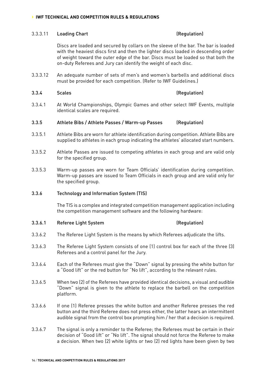#### 3.3.3.11 Loading Chart (Regulation)

Discs are loaded and secured by collars on the sleeve of the bar. The bar is loaded with the heaviest discs first and then the lighter discs loaded in descending order of weight toward the outer edge of the bar. Discs must be loaded so that both the on-duty Referees and Jury can identify the weight of each disc.

3.3.3.12 An adequate number of sets of men's and women's barbells and additional discs must be provided for each competition. (Refer to IWF Guidelines.)

#### 3.3.4 Scales (Regulation)

3.3.4.1 At World Championships, Olympic Games and other select IWF Events, multiple identical scales are required.

#### 3.3.5 Athlete Bibs / Athlete Passes / Warm-up Passes (Regulation)

- 3.3.5.1 Athlete Bibs are worn for athlete identification during competition. Athlete Bibs are supplied to athletes in each group indicating the athletes' allocated start numbers.
- 3.3.5.2 Athlete Passes are issued to competing athletes in each group and are valid only for the specified group.
- 3.3.5.3 Warm-up passes are worn for Team Officials' identification during competition. Warm-up passes are issued to Team Officials in each group and are valid only for the specified group.

#### 3.3.6 Technology and Information System (TIS)

The TIS is a complex and integrated competition management application including the competition management software and the following hardware:

#### 3.3.6.1 Referee Light System (Regulation)

- 3.3.6.2 The Referee Light System is the means by which Referees adjudicate the lifts.
- 3.3.6.3 The Referee Light System consists of one (1) control box for each of the three (3) Referees and a control panel for the Jury.
- 3.3.6.4 Each of the Referees must give the "Down" signal by pressing the white button for a "Good lift" or the red button for "No lift", according to the relevant rules.
- 3.3.6.5 When two (2) of the Referees have provided identical decisions, a visual and audible "Down" signal is given to the athlete to replace the barbell on the competition platform.
- 3.3.6.6 If one (1) Referee presses the white button and another Referee presses the red button and the third Referee does not press either, the latter hears an intermittent audible signal from the control box prompting him / her that a decision is required.
- 3.3.6.7 The signal is only a reminder to the Referee; the Referees must be certain in their decision of "Good lift" or "No lift". The signal should not force the Referee to make a decision. When two (2) white lights or two (2) red lights have been given by two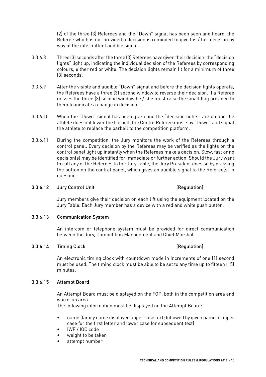(2) of the three (3) Referees and the "Down" signal has been seen and heard, the Referee who has not provided a decision is reminded to give his / her decision by way of the intermittent audible signal.

- 3.3.6.8 Three (3) seconds after the three (3) Referees have given their decision; the "decision lights" light up, indicating the individual decision of the Referees by corresponding colours, either red or white. The decision lights remain lit for a minimum of three (3) seconds.
- 3.3.6.9 After the visible and audible "Down" signal and before the decision lights operate, the Referees have a three (3) second window to reverse their decision. If a Referee misses the three (3) second window he / she must raise the small flag provided to them to indicate a change in decision.
- 3.3.6.10 When the "Down" signal has been given and the "decision lights" are on and the athlete does not lower the barbell, the Centre Referee must say "Down" and signal the athlete to replace the barbell to the competition platform.
- 3.3.6.11 During the competition, the Jury monitors the work of the Referees through a control panel. Every decision by the Referees may be verified as the lights on the control panel light up instantly when the Referees make a decision. Slow, fast or no decision(s) may be identified for immediate or further action. Should the Jury want to call any of the Referees to the Jury Table, the Jury President does so by pressing the button on the control panel, which gives an audible signal to the Referee(s) in question.

#### 3.3.6.12 Jury Control Unit (Regulation)

Jury members give their decision on each lift using the equipment located on the Jury Table. Each Jury member has a device with a red and white push button.

#### 3.3.6.13 Communication System

An intercom or telephone system must be provided for direct communication between the Jury, Competition Management and Chief Marshal.

#### 3.3.6.14 Timing Clock (Regulation)

An electronic timing clock with countdown mode in increments of one (1) second must be used. The timing clock must be able to be set to any time up to fifteen (15) minutes.

### 3.3.6.15 Attempt Board

An Attempt Board must be displayed on the FOP, both in the competition area and warm-up area.

The following information must be displayed on the Attempt Board:

- name (family name displayed upper case text; followed by given name in upper case for the first letter and lower case for subsequent text)
- IWF / IOC code
- weight to be taken
- attempt number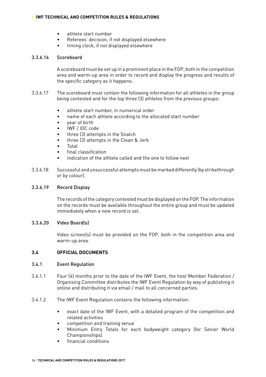- athlete start number
- Referees' decision, if not displayed elsewhere
- timing clock, if not displayed elsewhere

#### 3.3.6.16 Scoreboard

A scoreboard must be set up in a prominent place in the FOP, both in the competition area and warm-up area in order to record and display the progress and results of the specific category as it happens.

- 3.3.6.17 The scoreboard must contain the following information for all athletes in the group being contested and for the top three (3) athletes from the previous groups:
	- athlete start number, in numerical order
	- name of each athlete according to the allocated start number
	- year of birth
	- IWF / IOC code
	- three (3) attempts in the Snatch
	- three (3) attempts in the Clean & Jerk
	- Total
	- final classification
	- indication of the athlete called and the one to follow next
- 3.3.6.18 Successful and unsuccessful attempts must be marked differently (by strikethrough or by colour).

#### 3.3.6.19 Record Display

The records of the category contested must be displayed on the FOP. The information on the records must be available throughout the entire group and must be updated immediately when a new record is set.

### 3.3.6.20 Video Board(s)

Video screen(s) must be provided on the FOP, both in the competition area and warm-up area.

### **3.4 OFFICIAL DOCUMENTS**

#### 3.4.1 Event Regulation

- 3.4.1.1 Four (4) months prior to the date of the IWF Event, the host Member Federation / Organising Committee distributes the IWF Event Regulation by way of publishing it online and distributing it via email / mail to all concerned parties.
- 3.4.1.2 The IWF Event Regulation contains the following information:
	- exact date of the IWF Event, with a detailed program of the competition and related activities
	- competition and training venue
	- Minimum Entry Totals for each bodyweight category (for Senior World Championships)
	- financial conditions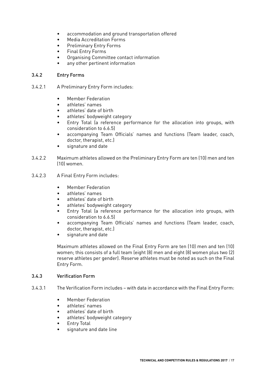- accommodation and ground transportation offered
- Media Accreditation Forms
- Preliminary Entry Forms
- Final Entry Forms
- Organising Committee contact information
- any other pertinent information

#### 3.4.2 Entry Forms

- 3.4.2.1 A Preliminary Entry Form includes:
	- Member Federation
	- athletes' names
	- athletes' date of birth
	- athletes' bodyweight category
	- Entry Total (a reference performance for the allocation into groups, with consideration to 6.6.5)
	- accompanying Team Officials' names and functions (Team leader, coach, doctor, therapist, etc.)
	- signature and date
- 3.4.2.2 Maximum athletes allowed on the Preliminary Entry Form are ten (10) men and ten (10) women.
- 3.4.2.3 A Final Entry Form includes:
	- Member Federation
	- athletes' names
	- athletes' date of birth
	- athletes' bodyweight category
	- Entry Total (a reference performance for the allocation into groups, with consideration to 6.6.5)
	- accompanying Team Officials' names and functions (Team leader, coach, doctor, therapist, etc.)
	- signature and date

Maximum athletes allowed on the Final Entry Form are ten (10) men and ten (10) women; this consists of a full team (eight (8) men and eight (8) women plus two (2) reserve athletes per gender). Reserve athletes must be noted as such on the Final Entry Form.

#### 3.4.3 Verification Form

- 3.4.3.1 The Verification Form includes with data in accordance with the Final Entry Form:
	- Member Federation
	- athletes' names
	- athletes' date of birth
	- athletes' bodyweight category
	- **Entry Total**
	- signature and date line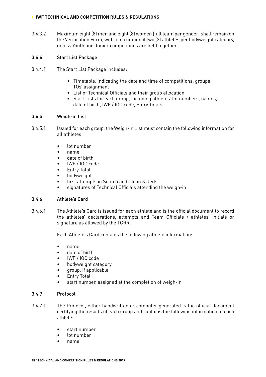3.4.3.2 Maximum eight (8) men and eight (8) women (full team per gender) shall remain on the Verification Form, with a maximum of two (2) athletes per bodyweight category, unless Youth and Junior competitions are held together.

### 3.4.4 Start List Package

- 3.4.4.1 The Start List Package includes:
	- Timetable, indicating the date and time of competitions, groups, TOs' assignment
	- List of Technical Officials and their group allocation
	- Start Lists for each group, including athletes' lot numbers, names, date of birth, IWF / IOC code, Entry Totals

#### 3.4.5 Weigh-in List

- 3.4.5.1 Issued for each group, the Weigh-in List must contain the following information for all athletes:
	- lot number
	- name
	- date of hirth
	- IWF / IOC code
	- **Entry Total**
	- bodyweight
	- first attempts in Snatch and Clean & Jerk
	- signatures of Technical Officials attending the weigh-in

### 3.4.6 Athlete's Card

3.4.6.1 The Athlete's Card is issued for each athlete and is the official document to record the athletes' declarations, attempts and Team Officials / athletes' initials or signature as allowed by the TCRR.

Each Athlete's Card contains the following athlete information:

- name
- date of birth
- IWF / IOC code
- bodyweight category
- group, if applicable
- **Entry Total**
- start number, assigned at the completion of weigh-in

#### 3.4.7 Protocol

- 3.4.7.1 The Protocol, either handwritten or computer generated is the official document certifying the results of each group and contains the following information of each athlete:
	- start number
	- lot number
	- name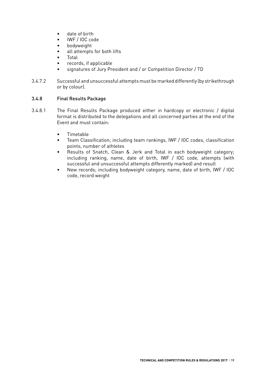- date of birth
- IWF / IOC code
- bodyweight
- all attempts for both lifts
- Total
- records, if applicable
- signatures of Jury President and / or Competition Director / TD
- 3.4.7.2 Successful and unsuccessful attempts must be marked differently (by strikethrough or by colour).

### 3.4.8 Final Results Package

- 3.4.8.1 The Final Results Package produced either in hardcopy or electronic / digital format is distributed to the delegations and all concerned parties at the end of the Event and must contain:
	- Timetable
	- Team Classification; including team rankings, IWF / IOC codes, classification points, number of athletes
	- Results of Snatch, Clean & Jerk and Total in each bodyweight category; including ranking, name, date of birth, IWF / IOC code, attempts (with successful and unsuccessful attempts differently marked) and result
	- New records; including bodyweight category, name, date of birth, IWF / IOC code, record weight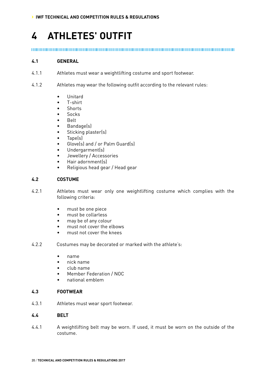## **4 ATHLETES' OUTFIT**

### **4.1 GENERAL**

- 4.1.1 Athletes must wear a weightlifting costume and sport footwear.
- 4.1.2 Athletes may wear the following outfit according to the relevant rules:
	- Unitard
	- T-shirt
	- Shorts
	- Socks
	- Belt
	- Bandage(s)
	- Sticking plaster(s)
	- Tape(s)
	- Glove(s) and / or Palm Guard(s)
	- Undergarment(s)
	- Jewellery / Accessories
	- Hair adornment(s)
	- Religious head gear / Head gear

#### **4.2 COSTUME**

- 4.2.1 Athletes must wear only one weightlifting costume which complies with the following criteria:
	- must be one piece
	- must be collarless
	- may be of any colour
	- must not cover the elbows
	- must not cover the knees
- 4.2.2 Costumes may be decorated or marked with the athlete's:
	- name
	- nick name
	- club name
	- Member Federation / NOC
	- national emblem

#### **4.3 FOOTWEAR**

4.3.1 Athletes must wear sport footwear.

#### **4.4 BELT**

4.4.1 A weightlifting belt may be worn. If used, it must be worn on the outside of the costume.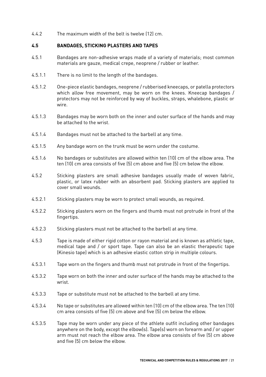4.4.2 The maximum width of the belt is twelve (12) cm.

#### **4.5 BANDAGES, STICKING PLASTERS AND TAPES**

- 4.5.1 Bandages are non-adhesive wraps made of a variety of materials; most common materials are gauze, medical crepe, neoprene / rubber or leather.
- 4.5.1.1 There is no limit to the length of the bandages.
- 4.5.1.2 One-piece elastic bandages, neoprene / rubberised kneecaps, or patella protectors which allow free movement, may be worn on the knees. Kneecap bandages / protectors may not be reinforced by way of buckles, straps, whalebone, plastic or wire.
- 4.5.1.3 Bandages may be worn both on the inner and outer surface of the hands and may be attached to the wrist.
- 4.5.1.4 Bandages must not be attached to the barbell at any time.
- 4.5.1.5 Any bandage worn on the trunk must be worn under the costume.
- 4.5.1.6 No bandages or substitutes are allowed within ten (10) cm of the elbow area. The ten (10) cm area consists of five (5) cm above and five (5) cm below the elbow.
- 4.5.2 Sticking plasters are small adhesive bandages usually made of woven fabric, plastic, or latex rubber with an absorbent pad. Sticking plasters are applied to cover small wounds.
- 4.5.2.1 Sticking plasters may be worn to protect small wounds, as required.
- 4.5.2.2 Sticking plasters worn on the fingers and thumb must not protrude in front of the fingertips.
- 4.5.2.3 Sticking plasters must not be attached to the barbell at any time.
- 4.5.3 Tape is made of either rigid cotton or rayon material and is known as athletic tape, medical tape and / or sport tape. Tape can also be an elastic therapeutic tape (Kinesio tape) which is an adhesive elastic cotton strip in multiple colours.
- 4.5.3.1 Tape worn on the fingers and thumb must not protrude in front of the fingertips.
- 4.5.3.2 Tape worn on both the inner and outer surface of the hands may be attached to the wrist.
- 4.5.3.3 Tape or substitute must not be attached to the barbell at any time.
- 4.5.3.4 No tape or substitutes are allowed within ten (10) cm of the elbow area. The ten (10) cm area consists of five (5) cm above and five (5) cm below the elbow.
- 4.5.3.5 Tape may be worn under any piece of the athlete outfit including other bandages anywhere on the body, except the elbow(s). Tape(s) worn on forearm and / or upper arm must not reach the elbow area. The elbow area consists of five (5) cm above and five (5) cm below the elbow.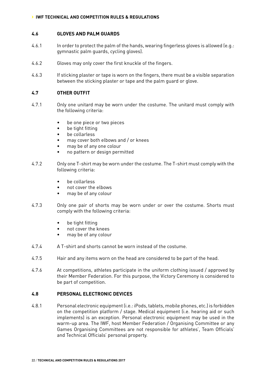#### **4.6 GLOVES AND PALM GUARDS**

- 4.6.1 In order to protect the palm of the hands, wearing fingerless gloves is allowed (e.g.: gymnastic palm guards, cycling gloves).
- 4.6.2 Gloves may only cover the first knuckle of the fingers.
- 4.6.3 If sticking plaster or tape is worn on the fingers, there must be a visible separation between the sticking plaster or tape and the palm guard or glove.

#### **4.7 OTHER OUTFIT**

- 4.7.1 Only one unitard may be worn under the costume. The unitard must comply with the following criteria:
	- be one piece or two pieces
	- be tight fitting
	- be collarless
	- may cover both elbows and / or knees
	- may be of any one colour
	- no pattern or design permitted
- 4.7.2 Only one T-shirt may be worn under the costume. The T-shirt must comply with the following criteria:
	- be collarless
	- not cover the elbows
	- may be of any colour
- 4.7.3 Only one pair of shorts may be worn under or over the costume. Shorts must comply with the following criteria:
	- be tight fitting
	- not cover the knees
	- may be of any colour
- 4.7.4 A T-shirt and shorts cannot be worn instead of the costume.
- 4.7.5 Hair and any items worn on the head are considered to be part of the head.
- 4.7.6 At competitions, athletes participate in the uniform clothing issued / approved by their Member Federation. For this purpose, the Victory Ceremony is considered to be part of competition.

### **4.8 PERSONAL ELECTRONIC DEVICES**

4.8.1 Personal electronic equipment (i.e.: iPods, tablets, mobile phones, etc.) is forbidden on the competition platform / stage. Medical equipment (i.e. hearing aid or such implements) is an exception. Personal electronic equipment may be used in the warm-up area. The IWF, host Member Federation / Organising Committee or any Games Organising Committees are not responsible for athletes', Team Officials' and Technical Officials' personal property.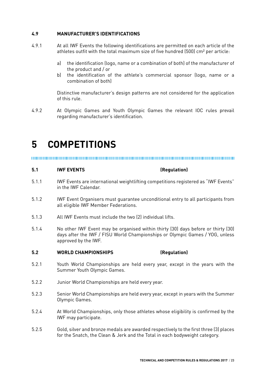#### **4.9 MANUFACTURER'S IDENTIFICATIONS**

- 4.9.1 At all IWF Events the following identifications are permitted on each article of the athletes outfit with the total maximum size of five hundred (500) cm² per article:
	- a) the identification (logo, name or a combination of both) of the manufacturer of the product and / or
	- b) the identification of the athlete's commercial sponsor (logo, name or a combination of both)

Distinctive manufacturer's design patterns are not considered for the application of this rule.

4.9.2 At Olympic Games and Youth Olympic Games the relevant IOC rules prevail regarding manufacturer's identification.

## **5 COMPETITIONS**

#### **5.1 IWF EVENTS (Regulation)**

- 5.1.1 IWF Events are international weightlifting competitions registered as "IWF Events" in the IWF Calendar.
- 5.1.2 IWF Event Organisers must guarantee unconditional entry to all participants from all eligible IWF Member Federations.
- 5.1.3 All IWF Events must include the two (2) individual lifts.
- 5.1.4 No other IWF Event may be organised within thirty (30) days before or thirty (30) days after the IWF / FISU World Championships or Olympic Games / YOG, unless approved by the IWF.

#### **5.2 WORLD CHAMPIONSHIPS (Regulation)**

- 5.2.1 Youth World Championships are held every year, except in the years with the Summer Youth Olympic Games.
- 5.2.2 Junior World Championships are held every year.
- 5.2.3 Senior World Championships are held every year, except in years with the Summer Olympic Games.
- 5.2.4 At World Championships, only those athletes whose eligibility is confirmed by the IWF may participate.
- 5.2.5 Gold, silver and bronze medals are awarded respectively to the first three (3) places for the Snatch, the Clean & Jerk and the Total in each bodyweight category.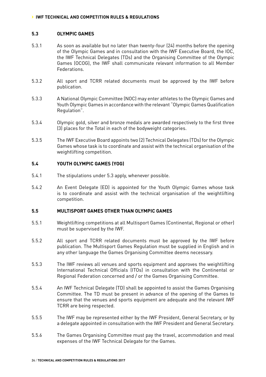#### **5.3 OLYMPIC GAMES**

- 5.3.1 As soon as available but no later than twenty-four (24) months before the opening of the Olympic Games and in consultation with the IWF Executive Board, the IOC, the IWF Technical Delegates (TDs) and the Organising Committee of the Olympic Games (OCOG), the IWF shall communicate relevant information to all Member Federations.
- 5.3.2 All sport and TCRR related documents must be approved by the IWF before publication.
- 5.3.3 A National Olympic Committee (NOC) may enter athletes to the Olympic Games and Youth Olympic Games in accordance with the relevant "Olympic Games Qualification Regulation".
- 5.3.4 Olympic gold, silver and bronze medals are awarded respectively to the first three (3) places for the Total in each of the bodyweight categories.
- 5.3.5 The IWF Executive Board appoints two (2) Technical Delegates (TDs) for the Olympic Games whose task is to coordinate and assist with the technical organisation of the weightlifting competition.

#### **5.4 YOUTH OLYMPIC GAMES (YOG)**

- 5.4.1 The stipulations under 5.3 apply, whenever possible.
- 5.4.2 An Event Delegate (ED) is appointed for the Youth Olympic Games whose task is to coordinate and assist with the technical organisation of the weightlifting competition.

#### **5.5 MULTISPORT GAMES OTHER THAN OLYMPIC GAMES**

- 5.5.1 Weightlifting competitions at all Multisport Games (Continental, Regional or other) must be supervised by the IWF.
- 5.5.2 All sport and TCRR related documents must be approved by the IWF before publication. The Multisport Games Regulation must be supplied in English and in any other language the Games Organising Committee deems necessary.
- 5.5.3 The IWF reviews all venues and sports equipment and approves the weightlifting International Technical Officials (ITOs) in consultation with the Continental or Regional Federation concerned and / or the Games Organising Committee.
- 5.5.4 An IWF Technical Delegate (TD) shall be appointed to assist the Games Organising Committee. The TD must be present in advance of the opening of the Games to ensure that the venues and sports equipment are adequate and the relevant IWF TCRR are being respected.
- 5.5.5 The IWF may be represented either by the IWF President, General Secretary, or by a delegate appointed in consultation with the IWF President and General Secretary.
- 5.5.6 The Games Organising Committee must pay the travel, accommodation and meal expenses of the IWF Technical Delegate for the Games.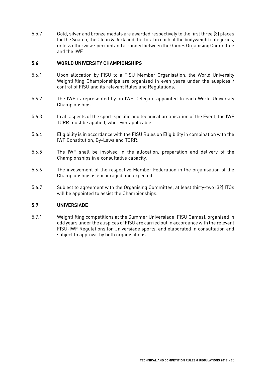5.5.7 Gold, silver and bronze medals are awarded respectively to the first three (3) places for the Snatch, the Clean & Jerk and the Total in each of the bodyweight categories, unless otherwise specified and arranged between the Games Organising Committee and the IWF.

### **5.6 WORLD UNIVERSITY CHAMPIONSHIPS**

- 5.6.1 Upon allocation by FISU to a FISU Member Organisation, the World University Weightlifting Championships are organised in even years under the auspices / control of FISU and its relevant Rules and Regulations.
- 5.6.2 The IWF is represented by an IWF Delegate appointed to each World University Championships.
- 5.6.3 In all aspects of the sport-specific and technical organisation of the Event, the IWF TCRR must be applied, wherever applicable.
- 5.6.4 Eligibility is in accordance with the FISU Rules on Eligibility in combination with the IWF Constitution, By-Laws and TCRR.
- 5.6.5 The IWF shall be involved in the allocation, preparation and delivery of the Championships in a consultative capacity.
- 5.6.6 The involvement of the respective Member Federation in the organisation of the Championships is encouraged and expected.
- 5.6.7 Subject to agreement with the Organising Committee, at least thirty-two (32) ITOs will be appointed to assist the Championships.

#### **5.7 UNIVERSIADE**

5.7.1 Weightlifting competitions at the Summer Universiade (FISU Games), organised in odd years under the auspices of FISU are carried out in accordance with the relevant FISU-IWF Regulations for Universiade sports, and elaborated in consultation and subject to approval by both organisations.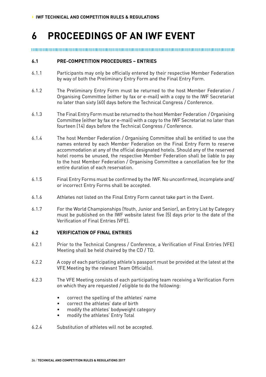## **6 PROCEEDINGS OF AN IWF EVENT**

## **6.1 PRE-COMPETITION PROCEDURES – ENTRIES**

- 6.1.1 Participants may only be officially entered by their respective Member Federation by way of both the Preliminary Entry Form and the Final Entry Form.
- 6.1.2 The Preliminary Entry Form must be returned to the host Member Federation / Organising Committee (either by fax or e-mail) with a copy to the IWF Secretariat no later than sixty (60) days before the Technical Congress / Conference.
- 6.1.3 The Final Entry Form must be returned to the host Member Federation / Organising Committee (either by fax or e-mail) with a copy to the IWF Secretariat no later than fourteen (14) days before the Technical Congress / Conference.
- 6.1.4 The host Member Federation / Organising Committee shall be entitled to use the names entered by each Member Federation on the Final Entry Form to reserve accommodation at any of the official designated hotels. Should any of the reserved hotel rooms be unused, the respective Member Federation shall be liable to pay to the host Member Federation / Organising Committee a cancellation fee for the entire duration of each reservation.
- 6.1.5 Final Entry Forms must be confirmed by the IWF. No unconfirmed, incomplete and/ or incorrect Entry Forms shall be accepted.
- 6.1.6 Athletes not listed on the Final Entry Form cannot take part in the Event.
- 6.1.7 For the World Championships (Youth, Junior and Senior), an Entry List by Category must be published on the IWF website latest five (5) days prior to the date of the Verification of Final Entries (VFE).

#### **6.2 VERIFICATION OF FINAL ENTRIES**

- 6.2.1 Prior to the Technical Congress / Conference, a Verification of Final Entries (VFE) Meeting shall be held chaired by the CD / TD.
- 6.2.2 A copy of each participating athlete's passport must be provided at the latest at the VFE Meeting by the relevant Team Official(s).
- 6.2.3 The VFE Meeting consists of each participating team receiving a Verification Form on which they are requested / eligible to do the following:
	- correct the spelling of the athletes' name
	- correct the athletes' date of birth
	- modify the athletes' bodyweight category
	- modify the athletes' Entry Total
- 6.2.4 Substitution of athletes will not be accepted.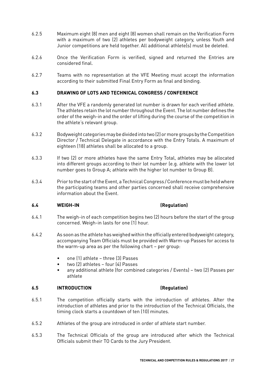- 6.2.5 Maximum eight (8) men and eight (8) women shall remain on the Verification Form with a maximum of two (2) athletes per bodyweight category, unless Youth and Junior competitions are held together. All additional athlete(s) must be deleted.
- 6.2.6 Once the Verification Form is verified, signed and returned the Entries are considered final.
- 6.2.7 Teams with no representation at the VFE Meeting must accept the information according to their submitted Final Entry Form as final and binding.

### **6.3 DRAWING OF LOTS AND TECHNICAL CONGRESS / CONFERENCE**

- 6.3.1 After the VFE a randomly generated lot number is drawn for each verified athlete. The athletes retain the lot number throughout the Event. The lot number defines the order of the weigh-in and the order of lifting during the course of the competition in the athlete's relevant group.
- 6.3.2 Bodyweight categories may be divided into two (2) or more groups by the Competition Director / Technical Delegate in accordance with the Entry Totals. A maximum of eighteen (18) athletes shall be allocated to a group.
- 6.3.3 If two (2) or more athletes have the same Entry Total, athletes may be allocated into different groups according to their lot number (e.g. athlete with the lower lot number goes to Group A; athlete with the higher lot number to Group B).
- 6.3.4 Prior to the start of the Event, a Technical Congress / Conference must be held where the participating teams and other parties concerned shall receive comprehensive information about the Event.

#### **6.4 WEIGH-IN (Regulation)**

- 6.4.1 The weigh-in of each competition begins two (2) hours before the start of the group concerned. Weigh-in lasts for one (1) hour.
- 6.4.2 As soon as the athlete has weighed within the officially entered bodyweight category, accompanying Team Officials must be provided with Warm-up Passes for access to the warm-up area as per the following chart – per group:
	- one (1) athlete three (3) Passes
	- two (2) athletes four (4) Passes
	- any additional athlete (for combined categories / Events) two (2) Passes per athlete

#### **6.5 INTRODUCTION (Regulation)**

- 6.5.1 The competition officially starts with the introduction of athletes. After the introduction of athletes and prior to the introduction of the Technical Officials, the timing clock starts a countdown of ten (10) minutes.
- 6.5.2 Athletes of the group are introduced in order of athlete start number.
- 6.5.3 The Technical Officials of the group are introduced after which the Technical Officials submit their TO Cards to the Jury President.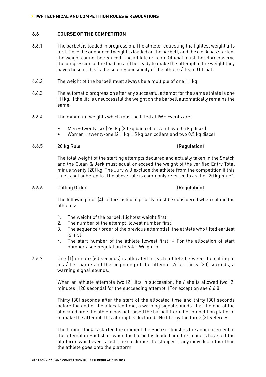#### **6.6 COURSE OF THE COMPETITION**

- 6.6.1 The barbell is loaded in progression. The athlete requesting the lightest weight lifts first. Once the announced weight is loaded on the barbell, and the clock has started, the weight cannot be reduced. The athlete or Team Official must therefore observe the progression of the loading and be ready to make the attempt at the weight they have chosen. This is the sole responsibility of the athlete / Team Official.
- 6.6.2 The weight of the barbell must always be a multiple of one (1) kg.
- 6.6.3 The automatic progression after any successful attempt for the same athlete is one (1) kg. If the lift is unsuccessful the weight on the barbell automatically remains the same.
- 6.6.4 The minimum weights which must be lifted at IWF Events are:
	- Men = twenty-six (26) kg (20 kg bar, collars and two 0.5 kg discs)
	- Women = twenty-one (21) kg (15 kg bar, collars and two 0.5 kg discs)

#### 6.6.5 20 kg Rule (Regulation)

The total weight of the starting attempts declared and actually taken in the Snatch and the Clean & Jerk must equal or exceed the weight of the verified Entry Total minus twenty (20) kg. The Jury will exclude the athlete from the competition if this rule is not adhered to. The above rule is commonly referred to as the "20 kg Rule".

#### 6.6.6 Calling Order (Regulation)

The following four (4) factors listed in priority must be considered when calling the athletes:

- 1. The weight of the barbell (lightest weight first)
- 2. The number of the attempt (lowest number first)
- 3. The sequence / order of the previous attempt(s) (the athlete who lifted earliest is first)
- 4. The start number of the athlete (lowest first) For the allocation of start numbers see Regulation to 6.4 – Weigh-in
- 6.6.7 One (1) minute (60 seconds) is allocated to each athlete between the calling of his / her name and the beginning of the attempt. After thirty (30) seconds, a warning signal sounds.

When an athlete attempts two (2) lifts in succession, he / she is allowed two (2) minutes (120 seconds) for the succeeding attempt. (For exception see 6.6.8)

Thirty (30) seconds after the start of the allocated time and thirty (30) seconds before the end of the allocated time, a warning signal sounds. If at the end of the allocated time the athlete has not raised the barbell from the competition platform to make the attempt, this attempt is declared "No lift" by the three (3) Referees.

The timing clock is started the moment the Speaker finishes the announcement of the attempt in English or when the barbell is loaded and the Loaders have left the platform, whichever is last. The clock must be stopped if any individual other than the athlete goes onto the platform.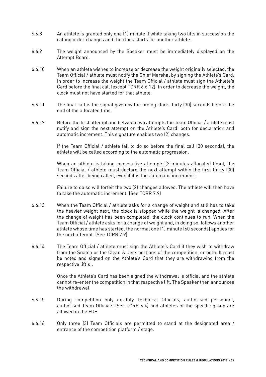- 6.6.8 An athlete is granted only one (1) minute if while taking two lifts in succession the calling order changes and the clock starts for another athlete.
- 6.6.9 The weight announced by the Speaker must be immediately displayed on the Attempt Board.
- 6.6.10 When an athlete wishes to increase or decrease the weight originally selected, the Team Official / athlete must notify the Chief Marshal by signing the Athlete's Card. In order to increase the weight the Team Official / athlete must sign the Athlete's Card before the final call (except TCRR 6.6.12). In order to decrease the weight, the clock must not have started for that athlete.
- 6.6.11 The final call is the signal given by the timing clock thirty (30) seconds before the end of the allocated time.
- 6.6.12 Before the first attempt and between two attempts the Team Official / athlete must notify and sign the next attempt on the Athlete's Card; both for declaration and automatic increment. This signature enables two (2) changes.

If the Team Official / athlete fail to do so before the final call (30 seconds), the athlete will be called according to the automatic progression.

When an athlete is taking consecutive attempts (2 minutes allocated time), the Team Official / athlete must declare the next attempt within the first thirty (30) seconds after being called, even if it is the automatic increment.

Failure to do so will forfeit the two (2) changes allowed. The athlete will then have to take the automatic increment. (See TCRR 7.9)

- 6.6.13 When the Team Official / athlete asks for a change of weight and still has to take the heavier weight next, the clock is stopped while the weight is changed. After the change of weight has been completed, the clock continues to run. When the Team Official / athlete asks for a change of weight and, in doing so, follows another athlete whose time has started, the normal one (1) minute (60 seconds) applies for the next attempt. (See TCRR 7.9)
- 6.6.14 The Team Official / athlete must sign the Athlete's Card if they wish to withdraw from the Snatch or the Clean & Jerk portions of the competition, or both. It must be noted and signed on the Athlete's Card that they are withdrawing from the respective lift(s).

Once the Athlete's Card has been signed the withdrawal is official and the athlete cannot re-enter the competition in that respective lift. The Speaker then announces the withdrawal.

- 6.6.15 During competition only on-duty Technical Officials, authorised personnel, authorised Team Officials (See TCRR 6.4) and athletes of the specific group are allowed in the FOP.
- 6.6.16 Only three (3) Team Officials are permitted to stand at the designated area / entrance of the competition platform / stage.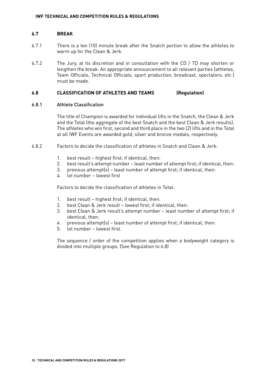#### **6.7 BREAK**

- 6.7.1 There is a ten (10) minute break after the Snatch portion to allow the athletes to warm up for the Clean & Jerk.
- 6.7.2 The Jury, at its discretion and in consultation with the CD / TD may shorten or lengthen the break. An appropriate announcement to all relevant parties (athletes, Team Officials, Technical Officials, sport production, broadcast, spectators, etc.) must be made.

#### **6.8 CLASSIFICATION OF ATHLETES AND TEAMS (Regulation)**

#### 6.8.1 Athlete Classification

The title of Champion is awarded for individual lifts in the Snatch, the Clean & Jerk and the Total (the aggregate of the best Snatch and the best Clean & Jerk results). The athletes who win first, second and third place in the two (2) lifts and in the Total at all IWF Events are awarded gold, silver and bronze medals, respectively.

- 6.8.2 Factors to decide the classification of athletes in Snatch and Clean & Jerk:
	- 1. best result highest first; if identical, then:
	- 2. best result's attempt number least number of attempt first; if identical, then:
	- 3. previous attempt(s) least number of attempt first; if identical, then:
	- 4. lot number lowest first

Factors to decide the classification of athletes in Total:

- 1. best result highest first; if identical, then:
- 2. best Clean & Jerk result lowest first; if identical, then:
- 3. best Clean & Jerk result's attempt number least number of attempt first; if identical, then:
- 4. previous attempt(s) least number of attempt first; if identical, then:
- 5. lot number lowest first.

The sequence / order of the competition applies when a bodyweight category is divided into multiple groups. (See Regulation to 6.8)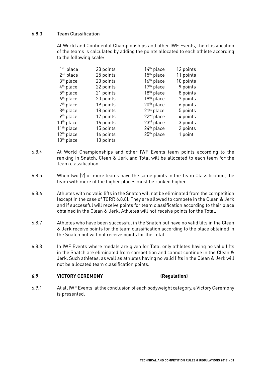### 6.8.3 Team Classification

At World and Continental Championships and other IWF Events, the classification of the teams is calculated by adding the points allocated to each athlete according to the following scale:

| $1st$ place           | 28 points | 14 <sup>th</sup> place | 12 points |
|-----------------------|-----------|------------------------|-----------|
| $2nd$ place           | 25 points | $15th$ place           | 11 points |
| $3rd$ place           | 23 points | $16th$ place           | 10 points |
| 4 <sup>th</sup> place | 22 points | 17 <sup>th</sup> place | 9 points  |
| $5th$ place           | 21 points | 18 <sup>th</sup> place | 8 points  |
| $6th$ place           | 20 points | 19 <sup>th</sup> place | 7 points  |
| 7 <sup>th</sup> place | 19 points | $20th$ place           | 6 points  |
| 8 <sup>th</sup> place | 18 points | $21st$ place           | 5 points  |
| 9 <sup>th</sup> place | 17 points | 22 <sup>nd</sup> place | 4 points  |
| $10th$ place          | 16 points | 23rd place             | 3 points  |
| $11th$ place          | 15 points | $24th$ place           | 2 points  |
| $12th$ place          | 14 points | 25 <sup>th</sup> place | 1 point   |
| $13th$ place          | 13 points |                        |           |

- 6.8.4 At World Championships and other IWF Events team points according to the ranking in Snatch, Clean & Jerk and Total will be allocated to each team for the Team classification.
- 6.8.5 When two (2) or more teams have the same points in the Team Classification, the team with more of the higher places must be ranked higher.
- 6.8.6 Athletes with no valid lifts in the Snatch will not be eliminated from the competition (except in the case of TCRR 6.8.8). They are allowed to compete in the Clean & Jerk and if successful will receive points for team classification according to their place obtained in the Clean & Jerk. Athletes will not receive points for the Total.
- 6.8.7 Athletes who have been successful in the Snatch but have no valid lifts in the Clean & Jerk receive points for the team classification according to the place obtained in the Snatch but will not receive points for the Total.
- 6.8.8 In IWF Events where medals are given for Total only athletes having no valid lifts in the Snatch are eliminated from competition and cannot continue in the Clean & Jerk. Such athletes, as well as athletes having no valid lifts in the Clean & Jerk will not be allocated team classification points.

#### **6.9 VICTORY CEREMONY (Regulation)**

6.9.1 At all IWF Events, at the conclusion of each bodyweight category, a Victory Ceremony is presented.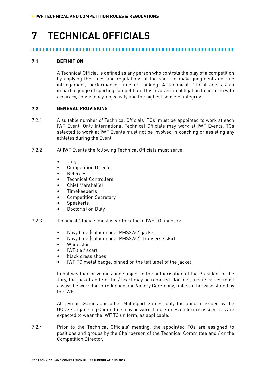## **7 TECHNICAL OFFICIALS**

## **7.1 DEFINITION**

A Technical Official is defined as any person who controls the play of a competition by applying the rules and regulations of the sport to make judgments on rule infringement, performance, time or ranking. A Technical Official acts as an impartial judge of sporting competition. This involves an obligation to perform with accuracy, consistency, objectivity and the highest sense of integrity.

#### **7.2 GENERAL PROVISIONS**

- 7.2.1 A suitable number of Technical Officials (TOs) must be appointed to work at each IWF Event. Only International Technical Officials may work at IWF Events. TOs selected to work at IWF Events must not be involved in coaching or assisting any athletes during the Event.
- 7.2.2 At IWF Events the following Technical Officials must serve:
	- Jury
	- Competition Director
	- Referees
	- Technical Controllers
	- Chief Marshal(s)
	- Timekeeper(s)
	- Competition Secretary
	- Speaker(s)
	- Doctor(s) on Duty
- 7.2.3 Technical Officials must wear the official IWF TO uniform:
	- Navy blue (colour code: PMS2767) jacket
	- Navy blue (colour code: PMS2767) trousers / skirt
	- White shirt
	- IWF tie / scarf
	- black dress shoes
	- IWF TO metal badge; pinned on the left lapel of the jacket

In hot weather or venues and subject to the authorisation of the President of the Jury, the jacket and / or tie / scarf may be removed. Jackets, ties / scarves must always be worn for introduction and Victory Ceremony, unless otherwise stated by the IWF.

At Olympic Games and other Multisport Games, only the uniform issued by the OCOG / Organising Committee may be worn. If no Games uniform is issued TOs are expected to wear the IWF TO uniform, as applicable.

7.2.4 Prior to the Technical Officials' meeting, the appointed TOs are assigned to positions and groups by the Chairperson of the Technical Committee and / or the Competition Director.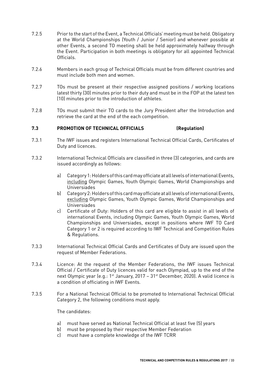- 7.2.5 Prior to the start of the Event, a Technical Officials' meeting must be held. Obligatory at the World Championships (Youth / Junior / Senior) and whenever possible at other Events, a second TO meeting shall be held approximately halfway through the Event. Participation in both meetings is obligatory for all appointed Technical Officials.
- 7.2.6 Members in each group of Technical Officials must be from different countries and must include both men and women.
- 7.2.7 TOs must be present at their respective assigned positions / working locations latest thirty (30) minutes prior to their duty and must be in the FOP at the latest ten (10) minutes prior to the introduction of athletes.
- 7.2.8 TOs must submit their TO cards to the Jury President after the Introduction and retrieve the card at the end of the each competition.

### **7.3 PROMOTION OF TECHNICAL OFFICIALS (Regulation)**

- 7.3.1 The IWF issues and registers International Technical Official Cards, Certificates of Duty and licences.
- 7.3.2 International Technical Officials are classified in three (3) categories, and cards are issued accordingly as follows:
	- a) Category 1: Holders of this card may officiate at all levels of international Events, including Olympic Games, Youth Olympic Games, World Championships and Universiades
	- b) Category 2: Holders of this card may officiate at all levels of international Events, excluding Olympic Games, Youth Olympic Games, World Championships and Universiades
	- c) Certificate of Duty: Holders of this card are eligible to assist in all levels of international Events, including Olympic Games, Youth Olympic Games, World Championships and Universiades, except in positions where IWF TO Card Category 1 or 2 is required according to IWF Technical and Competition Rules & Regulations.
- 7.3.3 International Technical Official Cards and Certificates of Duty are issued upon the request of Member Federations.
- 7.3.4 Licence: At the request of the Member Federations, the IWF issues Technical Official / Certificate of Duty licences valid for each Olympiad, up to the end of the next Olympic year (e.g.: 1<sup>st</sup> January, 2017 - 31<sup>st</sup> December, 2020). A valid licence is a condition of officiating in IWF Events.
- 7.3.5 For a National Technical Official to be promoted to International Technical Official Category 2, the following conditions must apply.

The candidates:

- a) must have served as National Technical Official at least five (5) years
- b) must be proposed by their respective Member Federation
- c) must have a complete knowledge of the IWF TCRR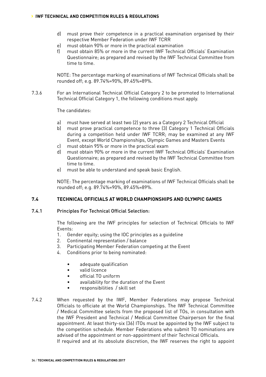- d) must prove their competence in a practical examination organised by their respective Member Federation under IWF TCRR
- e) must obtain 90% or more in the practical examination
- f) must obtain 85% or more in the current IWF Technical Officials' Examination Questionnaire; as prepared and revised by the IWF Technical Committee from time to time.

NOTE: The percentage marking of examinations of IWF Technical Officials shall be rounded off; e.g. 89.74%=90%, 89.45%=89%.

7.3.6 For an International Technical Official Category 2 to be promoted to International Technical Official Category 1, the following conditions must apply.

The candidates:

- a) must have served at least two (2) years as a Category 2 Technical Official
- b) must prove practical competence to three (3) Category 1 Technical Officials during a competition held under IWF TCRR; may be examined at any IWF Event, except World Championships, Olympic Games and Masters Events
- c) must obtain 95% or more in the practical exam
- d) must obtain 90% or more in the current IWF Technical Officials' Examination Questionnaire; as prepared and revised by the IWF Technical Committee from time to time.
- e) must be able to understand and speak basic English.

NOTE: The percentage marking of examinations of IWF Technical Officials shall be rounded off; e.g. 89.74%=90%, 89.45%=89%.

#### **7.4 TECHNICAL OFFICIALS AT WORLD CHAMPIONSHIPS AND OLYMPIC GAMES**

#### 7.4.1 Principles For Technical Official Selection:

The following are the IWF principles for selection of Technical Officials to IWF Events:

- 1. Gender equity; using the IOC principles as a guideline
- 2. Continental representation / balance
- 3. Participating Member Federation competing at the Event
- 4. Conditions prior to being nominated:
	- adequate qualification
	- valid licence
	- official TO uniform
	- availability for the duration of the Event
	- responsibilities / skill set
- 7.4.2 When requested by the IWF, Member Federations may propose Technical Officials to officiate at the World Championships. The IWF Technical Committee / Medical Committee selects from the proposed list of TOs, in consultation with the IWF President and Technical / Medical Committee Chairperson for the final appointment. At least thirty-six (36) ITOs must be appointed by the IWF subject to the competition schedule. Member Federations who submit TO nominations are advised of the appointment or non-appointment of their Technical Officials. If required and at its absolute discretion, the IWF reserves the right to appoint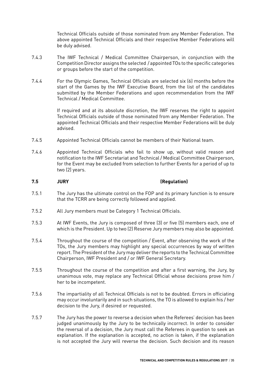Technical Officials outside of those nominated from any Member Federation. The above appointed Technical Officials and their respective Member Federations will be duly advised.

- 7.4.3 The IWF Technical / Medical Committee Chairperson, in conjunction with the Competition Director assigns the selected / appointed TOs to the specific categories or groups before the start of the competition.
- 7.4.4 For the Olympic Games, Technical Officials are selected six (6) months before the start of the Games by the IWF Executive Board, from the list of the candidates submitted by the Member Federations and upon recommendation from the IWF Technical / Medical Committee.

If required and at its absolute discretion, the IWF reserves the right to appoint Technical Officials outside of those nominated from any Member Federation. The appointed Technical Officials and their respective Member Federations will be duly advised.

- 7.4.5 Appointed Technical Officials cannot be members of their National team.
- 7.4.6 Appointed Technical Officials who fail to show up, without valid reason and notification to the IWF Secretariat and Technical / Medical Committee Chairperson, for the Event may be excluded from selection to further Events for a period of up to two (2) years.

#### **7.5 JURY (Regulation)**

- 7.5.1 The Jury has the ultimate control on the FOP and its primary function is to ensure that the TCRR are being correctly followed and applied.
- 7.5.2 All Jury members must be Category 1 Technical Officials.
- 7.5.3 At IWF Events, the Jury is composed of three (3) or five (5) members each, one of which is the President. Up to two (2) Reserve Jury members may also be appointed.
- 7.5.4 Throughout the course of the competition / Event, after observing the work of the TOs, the Jury members may highlight any special occurrences by way of written report. The President of the Jury may deliver the reports to the Technical Committee Chairperson, IWF President and / or IWF General Secretary.
- 7.5.5 Throughout the course of the competition and after a first warning, the Jury, by unanimous vote, may replace any Technical Official whose decisions prove him / her to be incompetent.
- 7.5.6 The impartiality of all Technical Officials is not to be doubted. Errors in officiating may occur involuntarily and in such situations, the TO is allowed to explain his / her decision to the Jury, if desired or requested.
- 7.5.7 The Jury has the power to reverse a decision when the Referees' decision has been judged unanimously by the Jury to be technically incorrect. In order to consider the reversal of a decision, the Jury must call the Referees in question to seek an explanation. If the explanation is accepted, no action is taken, if the explanation is not accepted the Jury will reverse the decision. Such decision and its reason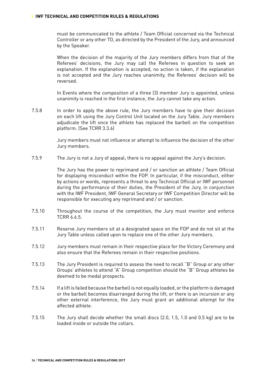must be communicated to the athlete / Team Official concerned via the Technical Controller or any other TO, as directed by the President of the Jury, and announced by the Speaker.

When the decision of the majority of the Jury members differs from that of the Referees' decisions, the Jury may call the Referees in question to seek an explanation. If the explanation is accepted, no action is taken, if the explanation is not accepted and the Jury reaches unanimity, the Referees' decision will be reversed.

In Events where the composition of a three (3) member Jury is appointed, unless unanimity is reached in the first instance, the Jury cannot take any action.

7.5.8 In order to apply the above rule, the Jury members have to give their decision on each lift using the Jury Control Unit located on the Jury Table. Jury members adjudicate the lift once the athlete has replaced the barbell on the competition platform. (See TCRR 3.3.6)

> Jury members must not influence or attempt to influence the decision of the other Jury members.

7.5.9 The Jury is not a Jury of appeal; there is no appeal against the Jury's decision.

The Jury has the power to reprimand and / or sanction an athlete / Team Official for displaying misconduct within the FOP. In particular, if the misconduct, either by actions or words, represents a threat to any Technical Official or IWF personnel during the performance of their duties, the President of the Jury, in conjunction with the IWF President, IWF General Secretary or IWF Competition Director will be responsible for executing any reprimand and / or sanction.

- 7.5.10 Throughout the course of the competition, the Jury must monitor and enforce TCRR 6.6.5.
- 7.5.11 Reserve Jury members sit at a designated space on the FOP and do not sit at the Jury Table unless called upon to replace one of the other Jury members.
- 7.5.12 Jury members must remain in their respective place for the Victory Ceremony and also ensure that the Referees remain in their respective positions.
- 7.5.13 The Jury President is required to assess the need to recall "B" Group or any other Groups' athletes to attend "A" Group competition should the "B" Group athletes be deemed to be medal prospects.
- 7.5.14 If a lift is failed because the barbell is not equally loaded, or the platform is damaged or the barbell becomes disarranged during the lift; or there is an incursion or any other external interference, the Jury must grant an additional attempt for the affected athlete.
- 7.5.15 The Jury shall decide whether the small discs (2.0, 1.5, 1.0 and 0.5 kg) are to be loaded inside or outside the collars.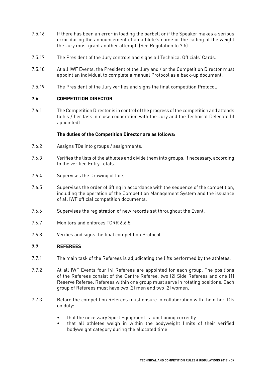- 7.5.16 If there has been an error in loading the barbell or if the Speaker makes a serious error during the announcement of an athlete's name or the calling of the weight the Jury must grant another attempt. (See Regulation to 7.5)
- 7.5.17 The President of the Jury controls and signs all Technical Officials' Cards.
- 7.5.18 At all IWF Events, the President of the Jury and / or the Competition Director must appoint an individual to complete a manual Protocol as a back-up document.
- 7.5.19 The President of the Jury verifies and signs the final competition Protocol.

#### **7.6 COMPETITION DIRECTOR**

7.6.1 The Competition Director is in control of the progress of the competition and attends to his / her task in close cooperation with the Jury and the Technical Delegate (if appointed).

#### **The duties of the Competition Director are as follows:**

- 7.6.2 Assigns TOs into groups / assignments.
- 7.6.3 Verifies the lists of the athletes and divide them into groups, if necessary, according to the verified Entry Totals.
- 7.6.4 Supervises the Drawing of Lots.
- 7.6.5 Supervises the order of lifting in accordance with the sequence of the competition, including the operation of the Competition Management System and the issuance of all IWF official competition documents.
- 7.6.6 Supervises the registration of new records set throughout the Event.
- 7.6.7 Monitors and enforces TCRR 6.6.5.
- 7.6.8 Verifies and signs the final competition Protocol.

#### **7.7 REFEREES**

- 7.7.1 The main task of the Referees is adjudicating the lifts performed by the athletes.
- 7.7.2 At all IWF Events four (4) Referees are appointed for each group. The positions of the Referees consist of the Centre Referee, two (2) Side Referees and one (1) Reserve Referee. Referees within one group must serve in rotating positions. Each group of Referees must have two (2) men and two (2) women.
- 7.7.3 Before the competition Referees must ensure in collaboration with the other TOs on duty:
	- that the necessary Sport Equipment is functioning correctly
	- that all athletes weigh in within the bodyweight limits of their verified bodyweight category during the allocated time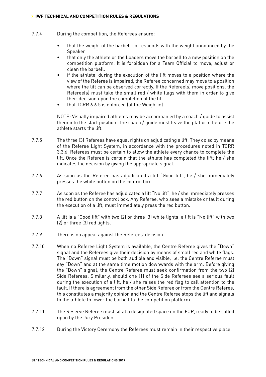- 7.7.4 During the competition, the Referees ensure:
	- that the weight of the barbell corresponds with the weight announced by the Speaker
	- that only the athlete or the Loaders move the barbell to a new position on the competition platform. It is forbidden for a Team Official to move, adjust or clean the barbell.
	- if the athlete, during the execution of the lift moves to a position where the view of the Referee is impaired, the Referee concerned may move to a position where the lift can be observed correctly. If the Referee(s) move positions, the Referee(s) must take the small red / white flags with them in order to give their decision upon the completion of the lift.
	- that TCRR 6.6.5 is enforced (at the Weigh-in)

NOTE: Visually impaired athletes may be accompanied by a coach / guide to assist them into the start position. The coach / guide must leave the platform before the athlete starts the lift.

- 7.7.5 The three (3) Referees have equal rights on adjudicating a lift. They do so by means of the Referee Light System, in accordance with the procedures noted in TCRR 3.3.6. Referees must be certain to allow the athlete every chance to complete the lift. Once the Referee is certain that the athlete has completed the lift; he / she indicates the decision by giving the appropriate signal.
- 7.7.6 As soon as the Referee has adjudicated a lift "Good lift", he / she immediately presses the white button on the control box.
- 7.7.7 As soon as the Referee has adjudicated a lift "No lift", he / she immediately presses the red button on the control box. Any Referee, who sees a mistake or fault during the execution of a lift, must immediately press the red button.
- 7.7.8 A lift is a "Good lift" with two (2) or three (3) white lights; a lift is "No lift" with two (2) or three (3) red lights.
- 7.7.9 There is no appeal against the Referees' decision.
- 7.7.10 When no Referee Light System is available, the Centre Referee gives the "Down" signal and the Referees give their decision by means of small red and white flags. The "Down" signal must be both audible and visible, i.e. the Centre Referee must say "Down" and at the same time motion downwards with the arm. Before giving the "Down" signal, the Centre Referee must seek confirmation from the two (2) Side Referees. Similarly, should one (1) of the Side Referees see a serious fault during the execution of a lift, he / she raises the red flag to call attention to the fault. If there is agreement from the other Side Referee or from the Centre Referee, this constitutes a majority opinion and the Centre Referee stops the lift and signals to the athlete to lower the barbell to the competition platform.
- 7.7.11 The Reserve Referee must sit at a designated space on the FOP, ready to be called upon by the Jury President.
- 7.7.12 During the Victory Ceremony the Referees must remain in their respective place.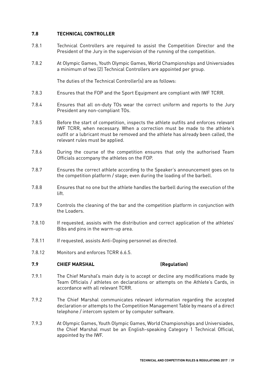#### **7.8 TECHNICAL CONTROLLER**

- 7.8.1 Technical Controllers are required to assist the Competition Director and the President of the Jury in the supervision of the running of the competition.
- 7.8.2 At Olympic Games, Youth Olympic Games, World Championships and Universiades a minimum of two (2) Technical Controllers are appointed per group.

The duties of the Technical Controller(s) are as follows:

- 7.8.3 Ensures that the FOP and the Sport Equipment are compliant with IWF TCRR.
- 7.8.4 Ensures that all on-duty TOs wear the correct uniform and reports to the Jury President any non-compliant TOs.
- 7.8.5 Before the start of competition, inspects the athlete outfits and enforces relevant IWF TCRR, when necessary. When a correction must be made to the athlete's outfit or a lubricant must be removed and the athlete has already been called, the relevant rules must be applied.
- 7.8.6 During the course of the competition ensures that only the authorised Team Officials accompany the athletes on the FOP.
- 7.8.7 Ensures the correct athlete according to the Speaker's announcement goes on to the competition platform / stage; even during the loading of the barbell.
- 7.8.8 Ensures that no one but the athlete handles the barbell during the execution of the lift.
- 7.8.9 Controls the cleaning of the bar and the competition platform in conjunction with the Loaders.
- 7.8.10 If requested, assists with the distribution and correct application of the athletes' Bibs and pins in the warm-up area.
- 7.8.11 If requested, assists Anti-Doping personnel as directed.
- 7.8.12 Monitors and enforces TCRR 6.6.5.

#### **7.9 CHIEF MARSHAL (Regulation)**

- 7.9.1 The Chief Marshal's main duty is to accept or decline any modifications made by Team Officials / athletes on declarations or attempts on the Athlete's Cards, in accordance with all relevant TCRR.
- 7.9.2 The Chief Marshal communicates relevant information regarding the accepted declaration or attempts to the Competition Management Table by means of a direct telephone / intercom system or by computer software.
- 7.9.3 At Olympic Games, Youth Olympic Games, World Championships and Universiades, the Chief Marshal must be an English-speaking Category 1 Technical Official, appointed by the IWF.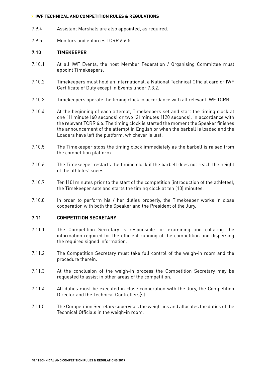- 7.9.4 Assistant Marshals are also appointed, as required.
- 7.9.5 Monitors and enforces TCRR 6.6.5.

#### **7.10 TIMEKEEPER**

- 7.10.1 At all IWF Events, the host Member Federation / Organising Committee must appoint Timekeepers.
- 7.10.2 Timekeepers must hold an International, a National Technical Official card or IWF Certificate of Duty except in Events under 7.3.2.
- 7.10.3 Timekeepers operate the timing clock in accordance with all relevant IWF TCRR.
- 7.10.4 At the beginning of each attempt, Timekeepers set and start the timing clock at one (1) minute (60 seconds) or two (2) minutes (120 seconds), in accordance with the relevant TCRR 6.6. The timing clock is started the moment the Speaker finishes the announcement of the attempt in English or when the barbell is loaded and the Loaders have left the platform, whichever is last.
- 7.10.5 The Timekeeper stops the timing clock immediately as the barbell is raised from the competition platform.
- 7.10.6 The Timekeeper restarts the timing clock if the barbell does not reach the height of the athletes' knees.
- 7.10.7 Ten (10) minutes prior to the start of the competition (introduction of the athletes), the Timekeeper sets and starts the timing clock at ten (10) minutes.
- 7.10.8 In order to perform his / her duties properly, the Timekeeper works in close cooperation with both the Speaker and the President of the Jury.

#### **7.11 COMPETITION SECRETARY**

- 7.11.1 The Competition Secretary is responsible for examining and collating the information required for the efficient running of the competition and dispersing the required signed information.
- 7.11.2 The Competition Secretary must take full control of the weigh-in room and the procedure therein.
- 7.11.3 At the conclusion of the weigh-in process the Competition Secretary may be requested to assist in other areas of the competition.
- 7.11.4 All duties must be executed in close cooperation with the Jury, the Competition Director and the Technical Controllers(s).
- 7.11.5 The Competition Secretary supervises the weigh-ins and allocates the duties of the Technical Officials in the weigh-in room.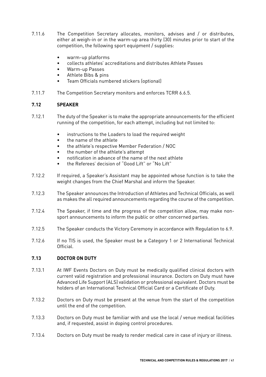- 7.11.6 The Competition Secretary allocates, monitors, advises and / or distributes, either at weigh-in or in the warm-up area thirty (30) minutes prior to start of the competition, the following sport equipment / supplies:
	- warm-up platforms
	- collects athletes' accreditations and distributes Athlete Passes
	- Warm-up Passes
	- Athlete Bibs & pins
	- Team Officials numbered stickers (optional)
- 7.11.7 The Competition Secretary monitors and enforces TCRR 6.6.5.

#### **7.12 SPEAKER**

- 7.12.1 The duty of the Speaker is to make the appropriate announcements for the efficient running of the competition, for each attempt, including but not limited to:
	- instructions to the Loaders to load the required weight
	- the name of the athlete
	- the athlete's respective Member Federation / NOC
	- the number of the athlete's attempt
	- notification in advance of the name of the next athlete
	- the Referees' decision of "Good Lift" or "No Lift"
- 7.12.2 If required, a Speaker's Assistant may be appointed whose function is to take the weight changes from the Chief Marshal and inform the Speaker.
- 7.12.3 The Speaker announces the Introduction of Athletes and Technical Officials, as well as makes the all required announcements regarding the course of the competition.
- 7.12.4 The Speaker, if time and the progress of the competition allow, may make nonsport announcements to inform the public or other concerned parties.
- 7.12.5 The Speaker conducts the Victory Ceremony in accordance with Regulation to 6.9.
- 7.12.6 If no TIS is used, the Speaker must be a Category 1 or 2 International Technical Official.

#### **7.13 DOCTOR ON DUTY**

- 7.13.1 At IWF Events Doctors on Duty must be medically qualified clinical doctors with current valid registration and professional insurance. Doctors on Duty must have Advanced Life Support (ALS) validation or professional equivalent. Doctors must be holders of an International Technical Official Card or a Certificate of Duty.
- 7.13.2 Doctors on Duty must be present at the venue from the start of the competition until the end of the competition.
- 7.13.3 Doctors on Duty must be familiar with and use the local / venue medical facilities and, if requested, assist in doping control procedures.
- 7.13.4 Doctors on Duty must be ready to render medical care in case of injury or illness.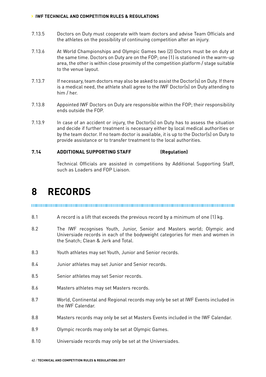- 7.13.5 Doctors on Duty must cooperate with team doctors and advise Team Officials and the athletes on the possibility of continuing competition after an injury.
- 7.13.6 At World Championships and Olympic Games two (2) Doctors must be on duty at the same time. Doctors on Duty are on the FOP; one (1) is stationed in the warm-up area, the other is within close proximity of the competition platform / stage suitable to the venue layout.
- 7.13.7 If necessary, team doctors may also be asked to assist the Doctor(s) on Duty. If there is a medical need, the athlete shall agree to the IWF Doctor(s) on Duty attending to him / her.
- 7.13.8 Appointed IWF Doctors on Duty are responsible within the FOP; their responsibility ends outside the FOP.
- 7.13.9 In case of an accident or injury, the Doctor(s) on Duty has to assess the situation and decide if further treatment is necessary either by local medical authorities or by the team doctor. If no team doctor is available, it is up to the Doctor(s) on Duty to provide assistance or to transfer treatment to the local authorities.

#### **7.14 ADDITIONAL SUPPORTING STAFF (Regulation)**

Technical Officials are assisted in competitions by Additional Supporting Staff, such as Loaders and FOP Liaison.

### **8 RECORDS**

- 8.1 A record is a lift that exceeds the previous record by a minimum of one (1) kg.
- 8.2 The IWF recognises Youth, Junior, Senior and Masters world; Olympic and Universiade records in each of the bodyweight categories for men and women in the Snatch; Clean & Jerk and Total.
- 8.3 Youth athletes may set Youth, Junior and Senior records.
- 8.4 Junior athletes may set Junior and Senior records.
- 8.5 Senior athletes may set Senior records.
- 8.6 Masters athletes may set Masters records.
- 8.7 World, Continental and Regional records may only be set at IWF Events included in the IWF Calendar.
- 8.8 Masters records may only be set at Masters Events included in the IWF Calendar.
- 8.9 Olympic records may only be set at Olympic Games.
- 8.10 Universiade records may only be set at the Universiades.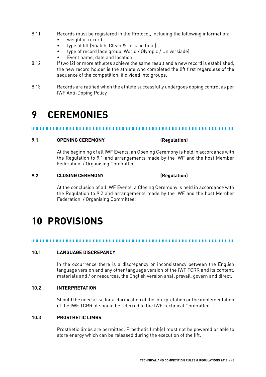- 8.11 Records must be registered in the Protocol, including the following information:
	- weight of record
	- type of lift (Snatch, Clean & Jerk or Total)
	- type of record (age group, World / Olympic / Universiade)
	- Event name, date and location
- 8.12 If two (2) or more athletes achieve the same result and a new record is established, the new record holder is the athlete who completed the lift first regardless of the sequence of the competition, if divided into groups.
- 8.13 Records are ratified when the athlete successfully undergoes doping control as per IWF Anti-Doping Policy.

### **9 CEREMONIES**

#### **9.1 OPENING CEREMONY (Regulation)**

At the beginning of all IWF Events, an Opening Ceremony is held in accordance with the Regulation to 9.1 and arrangements made by the IWF and the host Member Federation / Organising Committee.

#### **9.2 CLOSING CEREMONY (Regulation)**

At the conclusion of all IWF Events, a Closing Ceremony is held in accordance with the Regulation to 9.2 and arrangements made by the IWF and the host Member Federation / Organising Committee.

## **10 PROVISIONS**

### **10.1 LANGUAGE DISCREPANCY**

In the occurrence there is a discrepancy or inconsistency between the English language version and any other language version of the IWF TCRR and its content, materials and / or resources, the English version shall prevail, govern and direct.

#### **10.2 INTERPRETATION**

Should the need arise for a clarification of the interpretation or the implementation of the IWF TCRR, it should be referred to the IWF Technical Committee.

#### **10.3 PROSTHETIC LIMBS**

Prosthetic limbs are permitted. Prosthetic limb(s) must not be powered or able to store energy which can be released during the execution of the lift.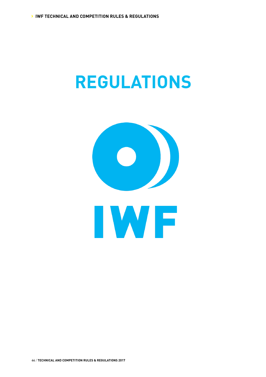# **REGULATIONS**

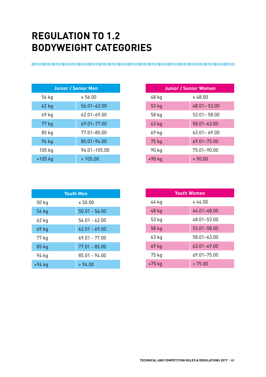## **REGULATION TO 1.2 BODYWEIGHT CATEGORIES**

| <b>Junior / Senior Men</b> |                 |  |
|----------------------------|-----------------|--|
| 56 kg                      | ≤ 56.00         |  |
| 62 kg                      | $56.01 - 62.00$ |  |
| 69 kg                      | $62.01 - 69.00$ |  |
| 77 kg                      | 69.01-77.00     |  |
| 85 kg                      | 77.01-85.00     |  |
| 94 kg                      | 85.01-94.00     |  |
| 105 kg                     | 94.01-105.00    |  |
| $+105$ kg                  | >105.00         |  |

| <b>Junior / Senior Women</b> |                 |  |
|------------------------------|-----------------|--|
| 48 kg                        | $\leq 48.00$    |  |
| 53 kg                        | 48.01 - 53.00   |  |
| 58 kg                        | $53.01 - 58.00$ |  |
| 63 kg                        | $58.01 - 63.00$ |  |
| 69 kg                        | $63.01 - 69.00$ |  |
| 75 kg                        | 69.01-75.00     |  |
| 90 kg                        | 75.01-90.00     |  |
| +90 kg                       | > 90.00         |  |

| <b>Youth Men</b> |                 |  |
|------------------|-----------------|--|
| 50 kg            | \$50.00         |  |
| 56 kg            | $50.01 - 56.00$ |  |
| 62 kg            | $56.01 - 62.00$ |  |
| 69 kg            | $62.01 - 69.00$ |  |
| 77 kg            | 69.01 - 77.00   |  |
| 85 kg            | $77.01 - 85.00$ |  |
| 94 kg            | 85.01 - 94.00   |  |
| $+94$ kg         | > 94.00         |  |

| <b>Youth Women</b> |                 |  |
|--------------------|-----------------|--|
| 44 kg              | $\leq 44.00$    |  |
| 48 kg              | $44.01 - 48.00$ |  |
| 53 kg              | 48.01-53.00     |  |
| 58 kg              | 53.01-58.00     |  |
| 63 kg              | 58.01-63.00     |  |
| 69 kg              | $63.01 - 69.00$ |  |
| 75 kg              | 69.01-75.00     |  |
| +75 kg             | >75.00          |  |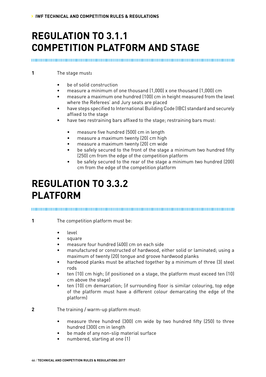## **REGULATION TO 3.1.1 COMPETITION PLATFORM AND STAGE**

**1** The stage must**:**

- be of solid construction
- measure a minimum of one thousand (1,000) x one thousand (1,000) cm
- measure a maximum one hundred (100) cm in height measured from the level where the Referees' and Jury seats are placed
- have steps specified to International Building Code (IBC) standard and securely affixed to the stage
- have two restraining bars affixed to the stage: restraining bars must:
	- measure five hundred (500) cm in length
	- measure a maximum twenty (20) cm high
	- measure a maximum twenty (20) cm wide
	- be safely secured to the front of the stage a minimum two hundred fifty (250) cm from the edge of the competition platform
	- be safely secured to the rear of the stage a minimum two hundred (200) cm from the edge of the competition platform

### **REGULATION TO 3.3.2 PLATFORM**

**1** The competition platform must be:

- level
- square
- measure four hundred (400) cm on each side
- manufactured or constructed of hardwood, either solid or laminated; using a maximum of twenty (20) tongue and groove hardwood planks
- hardwood planks must be attached together by a minimum of three (3) steel rods
- ten (10) cm high; (if positioned on a stage, the platform must exceed ten (10) cm above the stage)
- ten (10) cm demarcation; (if surrounding floor is similar colouring, top edge of the platform must have a different colour demarcating the edge of the platform)

**2** The training / warm-up platform must:

- measure three hundred (300) cm wide by two hundred fifty (250) to three hundred (300) cm in length
- be made of any non-slip material surface
- numbered, starting at one (1)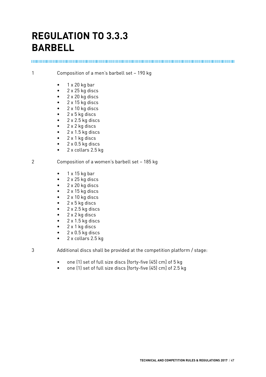## **REGULATION TO 3.3.3 BARBELL**

#### 

1 Composition of a men's barbell set – 190 kg

- 1 x 20 kg bar
- 2 x 25 kg discs
- 2 x 20 kg discs
- 2 x 15 kg discs
- 2 x 10 kg discs
- 2 x 5 kg discs
- $2 \times 2.5$  kg discs
- 2 x 2 kg discs
- $2 \times 1.5$  kg discs
- 2 x 1 kg discs
- 2 x 0.5 kg discs
- 2 x collars 2.5 kg

2 Composition of a women's barbell set – 185 kg

- 1 x 15 kg bar
- 2 x 25 kg discs
- 2 x 20 kg discs
- 2 x 15 kg discs
- 2 x 10 kg discs
- 2 x 5 kg discs
- $2 \times 2.5$  kg discs
- 2 x 2 kg discs
- $\bullet$  2 x 1.5 kg discs
- 2 x 1 kg discs
- $2 \times 0.5$  kg discs
- 2 x collars 2.5 kg

3 Additional discs shall be provided at the competition platform / stage:

- one (1) set of full size discs [forty-five (45) cm] of 5 kg
- one (1) set of full size discs [forty-five (45) cm] of 2.5 kg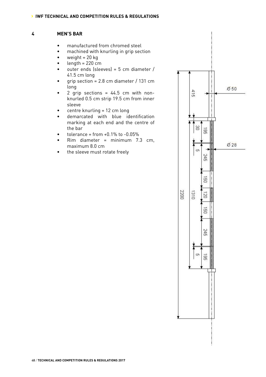#### **4 MEN'S BAR**

- manufactured from chromed steel
- machined with knurling in grip section
- weight  $= 20$  kg
- $\bullet$  length = 220 cm
- outer ends (sleeves) = 5 cm diameter / 41.5 cm long
- grip section = 2.8 cm diameter / 131 cm long
- 2 grip sections =  $44.5$  cm with nonknurled 0.5 cm strip 19.5 cm from inner sleeve
- centre knurling = 12 cm long
- demarcated with blue identification marking at each end and the centre of the bar
- tolerance = from  $+0.1\%$  to  $-0.05\%$
- $Rim$  diameter = minimum 7.3 cm, maximum 8.0 cm
- the sleeve must rotate freely

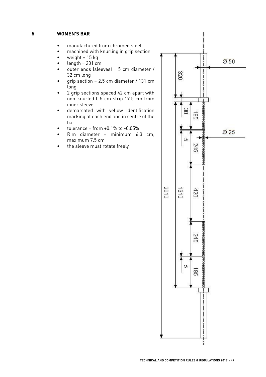#### **5 WOMEN'S BAR**

- manufactured from chromed steel
- machined with knurling in grip section
- weight  $= 15$  kg
- $length = 201$  cm
- outer ends (sleeves) =  $5 \text{ cm}$  diameter / 32 cm long
- grip section =  $2.5$  cm diameter / 131 cm long
- 2 grip sections spaced 42 cm apart with non-knurled 0.5 cm strip 19.5 cm from inner sleeve
- demarcated with yellow identification marking at each end and in centre of the bar
- tolerance = from  $+0.1\%$  to  $-0.05\%$
- $Rim$  diameter = minimum  $6.3$  cm, maximum 7.5 cm
- the sleeve must rotate freely

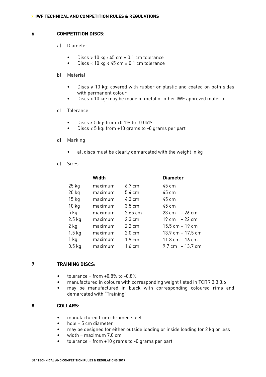#### **6 COMPETITION DISCS:**

- a) Diameter
	- Discs ≥ 10 kg : 45 cm ± 0.1 cm tolerance
	- Discs < 10 kg ≤ 45 cm ± 0.1 cm tolerance

#### b) Material

- Discs ≥ 10 kg: covered with rubber or plastic and coated on both sides with permanent colour
- Discs < 10 kg: may be made of metal or other IWF approved material

#### c) Tolerance

- Discs > 5 kg: from +0.1% to -0.05%
- Discs ≤ 5 kg: from +10 grams to -0 grams per part
- d) Marking
	- all discs must be clearly demarcated with the weight in kg
- e) Sizes

| Width   |                  | <b>Diameter</b>    |
|---------|------------------|--------------------|
| maximum | 6.7 cm           | 45 cm              |
| maximum | $5.4 \text{ cm}$ | 45 cm              |
| maximum | 4.3 cm           | 45 cm              |
| maximum | $3.5 \text{ cm}$ | 45 cm              |
| maximum | $2.65$ cm        | $23 cm - 26 cm$    |
| maximum | $2.3 \text{ cm}$ | 19 cm $-22$ cm     |
| maximum | $2.2 \text{ cm}$ | 15.5 cm - 19 cm    |
| maximum | $2.0 \text{ cm}$ | 13.9 cm - 17.5 cm  |
| maximum | $1.9 \text{ cm}$ | $11.8$ cm $-16$ cm |
| maximum | $1.6 \text{ cm}$ | 9.7 cm - 13.7 cm   |
|         |                  |                    |

#### **7 TRAINING DISCS:**

- $\bullet$  tolerance = from  $+0.8\%$  to  $-0.8\%$
- manufactured in colours with corresponding weight listed in TCRR 3.3.3.6
- may be manufactured in black with corresponding coloured rims and demarcated with "Training"

#### **8 COLLARS:**

- manufactured from chromed steel
- hole = 5 cm diameter
- may be designed for either outside loading or inside loading for 2 kg or less
- width = maximum 7.0 cm
- $to$  tolerance = from  $+10$  grams to -0 grams per part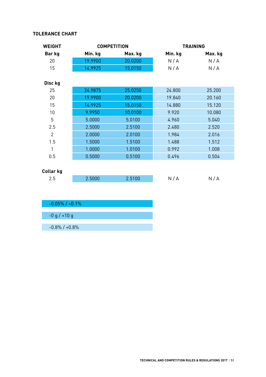### **TOLERANCE CHART**

| <b>WEIGHT</b>    |         | <b>COMPETITION</b> |         | <b>TRAINING</b> |
|------------------|---------|--------------------|---------|-----------------|
| <b>Barkg</b>     | Min. kg | Max. kg            | Min. kg | Max. kg         |
| 20               | 19.9900 | 20.0200            | N/A     | N/A             |
| 15               | 14.9925 | 15.0150            | N/A     | N/A             |
|                  |         |                    |         |                 |
| Disc kg          |         |                    |         |                 |
| 25               | 24.9875 | 25.0250            | 24.800  | 25.200          |
| 20               | 19.9900 | 20.0200            | 19.840  | 20.160          |
| 15               | 14.9925 | 15.0150            | 14.880  | 15.120          |
| 10               | 9.9950  | 10.0100            | 9.920   | 10.080          |
| 5                | 5.0000  | 5.0100             | 4.960   | 5.040           |
| 2.5              | 2.5000  | 2.5100             | 2.480   | 2.520           |
| $\overline{2}$   | 2.0000  | 2.0100             | 1.984   | 2.016           |
| 1.5              | 1.5000  | 1.5100             | 1.488   | 1.512           |
| 1                | 1.0000  | 1.0100             | 0.992   | 1.008           |
| 0.5              | 0.5000  | 0.5100             | 0.496   | 0.504           |
|                  |         |                    |         |                 |
| <b>Collar kg</b> |         |                    |         |                 |
| 2.5              | 2.5000  | 2.5100             | N/A     | N/A             |
|                  |         |                    |         |                 |

| $-0.05\%$ / $+0.1\%$ |  |
|----------------------|--|
|                      |  |
| $-0 g / +10 g$       |  |
|                      |  |
| $-0.8\% / +0.8\%$    |  |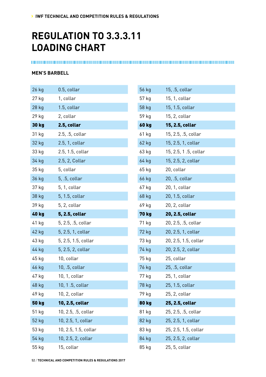## **REGULATION TO 3.3.3.11 LOADING CHART**

#### **MEN'S BARBELL**

| 26 kg        | 0.5, collar          |
|--------------|----------------------|
| 27 kg        | 1, collar            |
| 28 kg        | 1.5, collar          |
| 29 kg        | 2, collar            |
| <b>30 kg</b> | 2.5, collar          |
| 31 kg        | 2.5, .5, collar      |
| 32 kg        | 2.5, 1, collar       |
| 33 kg        | 2.5, 1.5, collar     |
| 34 kg        | 2.5, 2, Collar       |
| 35 kg        | 5, collar            |
| 36 kg        | 5, .5, collar        |
| 37 kg        | 5, 1, collar         |
| 38 kg        | 5, 1.5, collar       |
| 39 kg        | 5, 2, collar         |
| <b>40 kg</b> | 5, 2.5, collar       |
| 41 kg        | 5, 2.5, .5, collar   |
| 42 kg        | 5, 2.5, 1, collar    |
| 43 kg        | 5, 2.5, 1.5, collar  |
| 44 kg        | 5, 2.5, 2, collar    |
| 45 kg        | 10, collar           |
| 46 kg        | 10, .5, collar       |
| 47 kg        | 10, 1, collar        |
| 48 kg        | 10, 1 .5, collar     |
| 49 kg        | 10, 2, collar        |
| <b>50 kg</b> | 10, 2.5, collar      |
| 51 kg        | 10, 2.5, .5, collar  |
| 52 kg        | 10, 2.5, 1, collar   |
| 53 kg        | 10, 2.5, 1.5, collar |
| 54 kg        | 10, 2.5, 2, collar   |
| 55 kg        | 15, collar           |

| 56 kg        | 15, .5, collar       |
|--------------|----------------------|
| 57 kg        | 15, 1, collar        |
| 58 kg        | 15, 1.5, collar      |
| 59 kg        | 15, 2, collar        |
| <b>60 kg</b> | 15, 2.5, collar      |
| 61 kg        | 15, 2.5, .5, collar  |
| 62 kg        | 15, 2.5, 1, collar   |
| 63 kg        | 15, 2.5, 1.5, collar |
| 64 kg        | 15, 2.5, 2, collar   |
| 65 kg        | 20, collar           |
| 66 kg        | 20, .5, collar       |
| 67 kg        | 20, 1, collar        |
| 68 kg        | 20, 1.5, collar      |
| 69 kg        | 20, 2, collar        |
| <b>70 kg</b> | 20, 2.5, collar      |
| 71 kg        | 20, 2.5, .5, collar  |
| 72 kg        | 20, 2.5, 1, collar   |
| 73 kg        | 20, 2.5, 1.5, collar |
| 74 kg        | 20, 2.5, 2, collar   |
| 75 kg        | 25, collar           |
| 76 kg        | 25, .5, collar       |
| 77 kg        | 25, 1, collar        |
| 78 kg        | 25, 1.5, collar      |
|              |                      |
| 79 kg        | 25, 2, collar        |
| <b>80 kg</b> | 25, 2.5, collar      |
| 81 kg        | 25, 2.5, .5, collar  |
| 82 kg        | 25, 2.5, 1, collar   |
| 83 kg        | 25, 2.5, 1.5, collar |
| 84 kg        | 25, 2.5, 2, collar   |

52 / **TECHNICAL AND COMPETITION RULES & REGULATIONS 2017**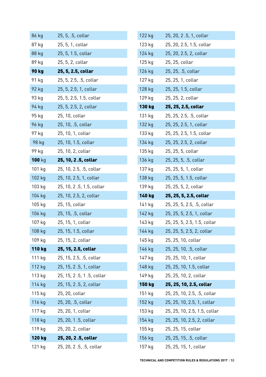| 86 kg        | 25, 5, .5, collar        |
|--------------|--------------------------|
| 87 kg        | 25, 5, 1, collar         |
| 88 kg        | 25, 5, 1.5, collar       |
| 89 kg        | 25, 5, 2, collar         |
| <b>90 kg</b> | 25, 5, 2.5, collar       |
| 91 kg        | 25, 5, 2.5, .5, collar   |
| 92 kg        | 25, 5, 2.5, 1, collar    |
| 93 kg        | 25, 5, 2.5, 1.5, collar  |
| 94 kg        | 25, 5, 2.5, 2, collar    |
| 95 kg        | 25, 10, collar           |
| <b>96 kg</b> | 25, 10, .5, collar       |
| 97 kg        | 25, 10, 1, collar        |
| 98 kg        | 25, 10, 1.5, collar      |
| 99 kg        | 25, 10, 2, collar        |
| 100 kg       | 25, 10, 2 .5, collar     |
| 101 kg       | 25, 10, 2.5, .5, collar  |
| 102 kg       | 25, 10, 2.5, 1, collar   |
| 103 kg       | 25, 10, 2.5, 1.5, collar |
| 104 kg       | 25, 10, 2.5, 2, collar   |
| 105 kg       | 25, 15, collar           |
| 106 kg       | 25, 15, .5, collar       |
| 107 kg       | 25, 15, 1, collar        |
| 108 kg       | 25, 15, 1.5, collar      |
| 109 kg       | 25, 15, 2, collar        |
| 110 kg       | 25, 15, 2.5, collar      |
| 111 kg       | 25, 15, 2.5, .5, collar  |
| 112 kg       | 25, 15, 2.5, 1, collar   |
| 113 kg       | 25, 15, 2.5, 1.5, collar |
| 114 kg       | 25, 15, 2.5, 2, collar   |
| 115 kg       | 25, 20, collar           |
| 116 kg       | 25, 20, .5, collar       |
| 117 kg       | 25, 20, 1, collar        |
| 118 kg       | 25, 20, 1.5, collar      |
| 119 kg       | 25, 20, 2, collar        |
| 120 kg       | 25, 20, 2.5, collar      |
|              |                          |

| 122 kg        | 25, 20, 2.5, 1, collar       |
|---------------|------------------------------|
| 123 kg        | 25, 20, 2.5, 1.5, collar     |
| 124 kg        | 25, 20, 2.5, 2, collar       |
| 125 kg        | 25, 25, collar               |
| 126 kg        | 25, 25, .5, collar           |
| 127 kg        | 25, 25, 1, collar            |
| 128 kg        | 25, 25, 1.5, collar          |
| 129 kg        | 25, 25, 2, collar            |
| 130 kg        | 25, 25, 2.5, collar          |
| 131 kg        | 25, 25, 2.5, .5, collar      |
| 132 kg        | 25, 25, 2.5, 1, collar       |
| 133 kg        | 25, 25, 2.5, 1.5, collar     |
| 134 kg        | 25, 25, 2.5, 2, collar       |
| 135 kg        | 25, 25, 5, collar            |
| 136 kg        | 25, 25, 5, .5, collar        |
| 137 kg        | 25, 25, 5, 1, collar         |
| 138 kg        | 25, 25, 5, 1.5, collar       |
| 139 kg        | 25, 25, 5, 2, collar         |
|               |                              |
| 140 kg        | 25, 25, 5, 2.5, collar       |
| 141 kg        | 25, 25, 5, 2.5, .5, collar   |
| 142 kg        | 25, 25, 5, 2.5, 1, collar    |
| 143 kg        | 25, 25, 5, 2.5, 1.5, collar  |
| 144 kg        | 25, 25, 5, 2.5, 2, collar    |
| 145 kg        | 25, 25, 10, collar           |
| 146 kg        | 25, 25, 10, .5, collar       |
| 147 kg        | 25, 25, 10, 1, collar        |
| 148 kg        | 25, 25, 10, 1.5, collar      |
| 149 kg        | 25, 25, 10, 2, collar        |
| <b>150 kg</b> | 25, 25, 10, 2.5, collar      |
| 151 kg        | 25, 25, 10, 2.5, .5, collar  |
| 152 kg        | 25, 25, 10, 2.5, 1, collar   |
| 153 kg        | 25, 25, 10, 2.5, 1.5, collar |
| 154 kg        | 25, 25, 10, 2.5, 2, collar   |
| 155 kg        | 25, 25, 15, collar           |
| 156 kg        | 25, 25, 15, .5, collar       |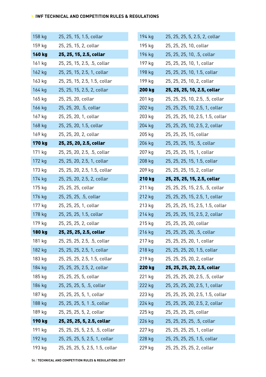| 158 kg        | 25, 25, 15, 1.5, collar         |
|---------------|---------------------------------|
| 159 kg        | 25, 25, 15, 2, collar           |
| 160 kg        | 25, 25, 15, 2.5, collar         |
| 161 kg        | 25, 25, 15, 2.5, .5, collar     |
| 162 kg        | 25, 25, 15, 2.5, 1, collar      |
| 163 kg        | 25, 25, 15, 2.5, 1.5, collar    |
| 164 kg        | 25, 25, 15, 2.5, 2, collar      |
| 165 kg        | 25, 25, 20, collar              |
| 166 kg        | 25, 25, 20, .5, collar          |
| 167 kg        | 25, 25, 20, 1, collar           |
| 168 kg        | 25, 25, 20, 1.5, collar         |
| 169 kg        | 25, 25, 20, 2, collar           |
| <b>170 kg</b> | 25, 25, 20, 2.5, collar         |
| 171 kg        | 25, 25, 20, 2.5, .5, collar     |
| 172 kg        | 25, 25, 20, 2.5, 1, collar      |
| 173 kg        | 25, 25, 20, 2.5, 1.5, collar    |
| 174 kg        | 25, 25, 20, 2.5, 2, collar      |
| 175 kg        | 25, 25, 25, collar              |
| 176 kg        | 25, 25, 25, .5, collar          |
| 177 kg        | 25, 25, 25, 1, collar           |
| 178 kg        | 25, 25, 25, 1.5, collar         |
| 179 kg        | 25, 25, 25, 2, collar           |
| 180 kg        | 25, 25, 25, 2.5, collar         |
| 181 kg        | 25, 25, 25, 2.5, .5, collar     |
| 182 kg        | 25, 25, 25, 2.5, 1, collar      |
| 183 kg        | 25, 25, 25, 2.5, 1.5, collar    |
| 184 kg        | 25, 25, 25, 2.5, 2, collar      |
| 185 kg        | 25, 25, 25, 5, collar           |
| 186 kg        | 25, 25, 25, 5, .5, collar       |
| 187 kg        | 25, 25, 25, 5, 1, collar        |
| 188 kg        | 25, 25, 25, 5, 1.5, collar      |
| 189 kg        | 25, 25, 25, 5, 2, collar        |
| 190 kg        | 25, 25, 25, 5, 2.5, collar      |
| 191 kg        | 25, 25, 25, 5, 2.5, .5, collar  |
| 192 kg        | 25, 25, 25, 5, 2.5, 1, collar   |
| 193 kg        | 25, 25, 25, 5, 2.5, 1.5, collar |

| 194 kg        | 25, 25, 25, 5, 2.5, 2, collar    |
|---------------|----------------------------------|
| 195 kg        | 25, 25, 25, 10, collar           |
| 196 kg        | 25, 25, 25, 10, .5, collar       |
| 197 kg        | 25, 25, 25, 10, 1, collar        |
| 198 kg        | 25, 25, 25, 10, 1.5, collar      |
| 199 kg        | 25, 25, 25, 10, 2, collar        |
| <b>200 kg</b> | 25, 25, 25, 10, 2.5, collar      |
| 201 kg        | 25, 25, 25, 10, 2.5, .5, collar  |
| 202 kg        | 25, 25, 25, 10, 2.5, 1, collar   |
| 203 kg        | 25, 25, 25, 10, 2.5, 1.5, collar |
| 204 kg        | 25, 25, 25, 10, 2.5, 2, collar   |
| 205 kg        | 25, 25, 25, 15, collar           |
| 206 kg        | 25, 25, 25, 15, .5, collar       |
| 207 kg        | 25, 25, 25, 15, 1, collar        |
| 208 kg        | 25, 25, 25, 15, 1.5, collar      |
| 209 kg        | 25, 25, 25, 15, 2, collar        |
| 210 kg        | 25, 25, 25, 15, 2.5, collar      |
| 211 kg        | 25, 25, 25, 15, 2.5, .5, collar  |
| 212 kg        | 25, 25, 25, 15, 2.5, 1, collar   |
|               |                                  |
| 213 kg        | 25, 25, 25, 15, 2.5, 1.5, collar |
| 214 kg        | 25, 25, 25, 15, 2.5, 2, collar   |
| 215 kg        | 25, 25, 25, 20, collar           |
| 216 kg        | 25, 25, 25, 20, .5, collar       |
| 217 kg        | 25, 25, 25, 20, 1, collar        |
| 218 kg        | 25, 25, 25, 20, 1.5, collar      |
| 219 kg        | 25, 25, 25, 20, 2, collar        |
| 220 kg        | 25, 25, 25, 20, 2.5, collar      |
| 221 kg        | 25, 25, 25, 20, 2.5, .5, collar  |
| 222 kg        | 25, 25, 25, 20, 2.5, 1, collar   |
| 223 kg        | 25, 25, 25, 20, 2.5, 1.5, collar |
| 224 kg        | 25, 25, 25, 20, 2.5, 2, collar   |
| 225 kg        | 25, 25, 25, 25, collar           |
| 226 kg        | 25, 25, 25, 25, .5, collar       |
| 227 kg        | 25, 25, 25, 25, 1, collar        |
| 228 kg        | 25, 25, 25, 25, 1.5, collar      |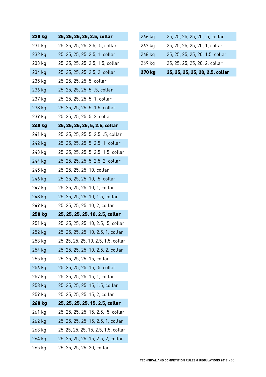| 230 kg        | 25, 25, 25, 25, 2.5, collar          |
|---------------|--------------------------------------|
| 231 kg        | 25, 25, 25, 25, 2.5, .5, collar      |
| 232 kg        | 25, 25, 25, 25, 2.5, 1, collar       |
| 233 kg        | 25, 25, 25, 25, 2.5, 1.5, collar     |
| 234 kg        | 25, 25, 25, 25, 2.5, 2, collar       |
| 235 kg        | 25, 25, 25, 25, 5, collar            |
| 236 kg        | 25, 25, 25, 25, 5, .5, collar        |
| 237 kg        | 25, 25, 25, 25, 5, 1, collar         |
| 238 kg        | 25, 25, 25, 25, 5, 1.5, collar       |
| 239 kg        | 25, 25, 25, 25, 5, 2, collar         |
| <b>240 kg</b> | 25, 25, 25, 25, 5, 2.5, collar       |
| 241 kg        | 25, 25, 25, 25, 5, 2.5, .5, collar   |
| 242 kg        | 25, 25, 25, 25, 5, 2.5, 1, collar    |
| 243 kg        | 25, 25, 25, 25, 5, 2.5, 1.5, collar  |
| 244 kg        | 25, 25, 25, 25, 5, 2.5, 2, collar    |
| 245 kg        | 25, 25, 25, 25, 10, collar           |
| 246 kg        | 25, 25, 25, 25, 10, .5, collar       |
| 247 kg        | 25, 25, 25, 25, 10, 1, collar        |
| 248 kg        | 25, 25, 25, 25, 10, 1.5, collar      |
| 249 kg        | 25, 25, 25, 25, 10, 2, collar        |
| <b>250 kg</b> | 25, 25, 25, 25, 10, 2.5, collar      |
| 251 kg        | 25, 25, 25, 25, 10, 2.5, .5, collar  |
| 252 kg        | 25, 25, 25, 25, 10, 2.5, 1, collar   |
| 253 kg        | 25, 25, 25, 25, 10, 2.5, 1.5, collar |
| 254 kg        | 25, 25, 25, 25, 10, 2.5, 2, collar   |
| 255 kg        | 25, 25, 25, 25, 15, collar           |
|               |                                      |
| 256 kg        | 25, 25, 25, 25, 15, .5, collar       |
| 257 kg        | 25, 25, 25, 25, 15, 1, collar        |
| 258 kg        | 25, 25, 25, 25, 15, 1.5, collar      |
| 259 kg        | 25, 25, 25, 25, 15, 2, collar        |
| 260 kg        | 25, 25, 25, 25, 15, 2.5, collar      |
| 261 kg        | 25, 25, 25, 25, 15, 2.5, .5, collar  |
| 262 kg        | 25, 25, 25, 25, 15, 2.5, 1, collar   |
| 263 kg        | 25, 25, 25, 25, 15, 2.5, 1.5, collar |
| 264 kg        | 25, 25, 25, 25, 15, 2.5, 2, collar   |

| <b>270 kg</b> | 25, 25, 25, 25, 20, 2.5, collar |
|---------------|---------------------------------|
| 269 kg        | 25, 25, 25, 25, 20, 2, collar   |
| 268 kg        | 25, 25, 25, 25, 20, 1.5, collar |
| 267 kg        | 25, 25, 25, 25, 20, 1, collar   |
| 266 kg        | 25, 25, 25, 25, 20, .5, collar  |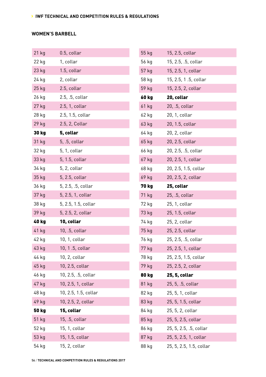### **WOMEN'S BARBELL**

| 21 kg        | 0.5, collar          |
|--------------|----------------------|
| 22 kg        | 1, collar            |
| 23 kg        | 1.5, collar          |
| 24 kg        | 2, collar            |
| $25$ $kg$    | 2.5, collar          |
| 26 kg        | 2.5, .5, collar      |
| 27 kg        | 2.5, 1, collar       |
| 28 kg        | 2.5, 1.5, collar     |
| 29 kg        | 2.5, 2, Collar       |
| 30 kg        | 5, collar            |
| 31 kg        | 5, .5, collar        |
| 32 kg        | 5, 1, collar         |
| 33 kg        | 5, 1.5, collar       |
| 34 kg        | 5, 2, collar         |
| 35 kg        | 5, 2.5, collar       |
| 36 kg        | 5, 2.5, .5, collar   |
| 37 kg        | 5, 2.5, 1, collar    |
| 38 kg        | 5, 2.5, 1.5, collar  |
| 39 kg        | 5, 2.5, 2, collar    |
| 40 kg        | 10, collar           |
| 41 kg        | 10, .5, collar       |
| 42 kg        |                      |
|              | 10, 1, collar        |
| 43 kg        | 10, 1 .5, collar     |
| 44 kg        | 10, 2, collar        |
| 45 kg        | 10, 2.5, collar      |
| 46 kg        | 10, 2.5, .5, collar  |
| 47 kg        | 10, 2.5, 1, collar   |
| 48 kg        | 10, 2.5, 1.5, collar |
| 49 kg        | 10, 2.5, 2, collar   |
| <b>50 kg</b> | 15, collar           |
| 51 kg        | 15, .5, collar       |
| 52 kg        | 15, 1, collar        |
| 53 kg        | 15, 1.5, collar      |

| 55 kg        | 15, 2.5, collar        |
|--------------|------------------------|
| 56 kg        | 15, 2.5, .5, collar    |
| 57 kg        | 15, 2.5, 1, collar     |
| 58 kg        | 15, 2.5, 1.5, collar   |
| 59 kg        | 15, 2.5, 2, collar     |
| <b>60 kg</b> | 20, collar             |
| 61 kg        | 20, .5, collar         |
| 62 kg        | 20, 1, collar          |
| 63 kg        | 20, 1.5, collar        |
| 64 kg        | 20, 2, collar          |
| 65 kg        | 20, 2.5, collar        |
| 66 kg        | 20, 2.5, .5, collar    |
| 67 kg        | 20, 2.5, 1, collar     |
| 68 kg        | 20, 2.5, 1.5, collar   |
| 69 kg        | 20, 2.5, 2, collar     |
| 70 kg        | 25, collar             |
| 71 kg        | 25, .5, collar         |
| 72 kg        | 25, 1, collar          |
| 73 kg        | 25, 1.5, collar        |
| 74 kg        | 25, 2, collar          |
| 75 kg        | 25, 2.5, collar        |
| 76 kg        | 25, 2.5, .5, collar    |
| 77 kg        | 25, 2.5, 1, collar     |
| 78 kg        | 25, 2.5, 1.5, collar   |
| 79 kg        | 25, 2.5, 2, collar     |
| 80 kg        | 25, 5, collar          |
| 81 kg        | 25, 5, .5, collar      |
| 82 kg        | 25, 5, 1, collar       |
| 83 kg        | 25, 5, 1.5, collar     |
| 84 kg        | 25, 5, 2, collar       |
| 85 kg        | 25, 5, 2.5, collar     |
| 86 kg        | 25, 5, 2.5, .5, collar |
| 87 kg        | 25, 5, 2.5, 1, collar  |
|              |                        |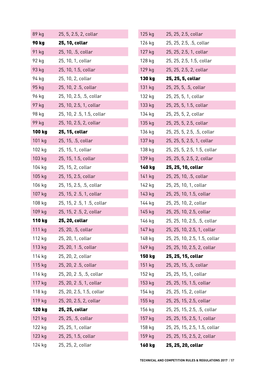| 89 kg  | 25, 5, 2.5, 2, collar    |
|--------|--------------------------|
| 90 kg  | 25, 10, collar           |
| 91 kg  | 25, 10, .5, collar       |
| 92 kg  | 25, 10, 1, collar        |
| 93 kg  | 25, 10, 1.5, collar      |
| 94 kg  | 25, 10, 2, collar        |
| 95 kg  | 25, 10, 2.5, collar      |
| 96 kg  | 25, 10, 2.5, .5, collar  |
| 97 kg  | 25, 10, 2.5, 1, collar   |
| 98 kg  | 25, 10, 2.5, 1.5, collar |
| 99 kg  | 25, 10, 2.5, 2, collar   |
| 100 kg | 25, 15, collar           |
| 101 kg | 25, 15, .5, collar       |
| 102 kg | 25, 15, 1, collar        |
| 103 kg | 25, 15, 1.5, collar      |
| 104 kg | 25, 15, 2, collar        |
| 105 kg | 25, 15, 2.5, collar      |
| 106 kg | 25, 15, 2.5, .5, collar  |
| 107 kg | 25, 15, 2.5, 1, collar   |
|        |                          |
| 108 kg | 25, 15, 2.5, 1.5, collar |
| 109 kg | 25, 15, 2.5, 2, collar   |
| 110 kg | 25, 20, collar           |
| 111 kg | 25, 20, .5, collar       |
| 112 kg | 25, 20, 1, collar        |
| 113 kg | 25, 20, 1.5, collar      |
| 114 kg | 25, 20, 2, collar        |
| 115 kg | 25, 20, 2.5, collar      |
| 116 kg | 25, 20, 2.5, .5, collar  |
| 117 kg | 25, 20, 2.5, 1, collar   |
| 118 kg | 25, 20, 2.5, 1.5, collar |
| 119 kg | 25, 20, 2.5, 2, collar   |
| 120 kg | 25, 25, collar           |
| 121 kg | 25, 25, .5, collar       |
| 122 kg | 25, 25, 1, collar        |
| 123 kg | 25, 25, 1.5, collar      |

| 125 kg | 25, 25, 2.5, collar          |
|--------|------------------------------|
| 126 kg | 25, 25, 2.5, .5, collar      |
| 127 kg | 25, 25, 2.5, 1, collar       |
| 128 kg | 25, 25, 2.5, 1.5, collar     |
| 129 kg | 25, 25, 2.5, 2, collar       |
| 130 kg | 25, 25, 5, collar            |
| 131 kg | 25, 25, 5, .5, collar        |
| 132 kg | 25, 25, 5, 1, collar         |
| 133 kg | 25, 25, 5, 1.5, collar       |
| 134 kg | 25, 25, 5, 2, collar         |
| 135 kg | 25, 25, 5, 2.5, collar       |
| 136 kg | 25, 25, 5, 2.5, .5, collar   |
| 137 kg | 25, 25, 5, 2.5, 1, collar    |
| 138 kg | 25, 25, 5, 2.5, 1.5, collar  |
| 139 kg | 25, 25, 5, 2.5, 2, collar    |
| 140 kg | 25, 25, 10, collar           |
| 141 kg | 25, 25, 10, .5, collar       |
| 142 kg | 25, 25, 10, 1, collar        |
| 143 kg | 25, 25, 10, 1.5, collar      |
| 144 kg | 25, 25, 10, 2, collar        |
| 145 kg | 25, 25, 10, 2.5, collar      |
| 146 kg | 25, 25, 10, 2.5, .5, collar  |
| 147 kg | 25, 25, 10, 2.5, 1, collar   |
| 148 kg | 25, 25, 10, 2.5, 1.5, collar |
| 149 kg | 25, 25, 10, 2.5, 2, collar   |
| 150 kg | 25, 25, 15, collar           |
| 151 kg | 25, 25, 15, .5, collar       |
| 152 kg | 25, 25, 15, 1, collar        |
| 153 kg | 25, 25, 15, 1.5, collar      |
| 154 kg | 25, 25, 15, 2, collar        |
| 155 kg | 25, 25, 15, 2.5, collar      |
| 156 kg | 25, 25, 15, 2.5, .5, collar  |
| 157 kg | 25, 25, 15, 2.5, 1, collar   |
| 158 kg | 25, 25, 15, 2.5, 1.5, collar |
| 159 kg | 25, 25, 15, 2.5, 2, collar   |
|        |                              |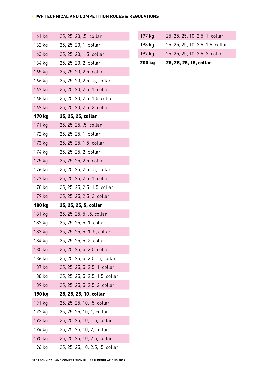| 161 kg | 25, 25, 20, .5, collar          |
|--------|---------------------------------|
| 162 kg | 25, 25, 20, 1, collar           |
| 163 kg | 25, 25, 20, 1.5, collar         |
| 164 kg | 25, 25, 20, 2, collar           |
| 165 kg | 25, 25, 20, 2.5, collar         |
| 166 kg | 25, 25, 20, 2.5, .5, collar     |
| 167 kg | 25, 25, 20, 2.5, 1, collar      |
| 168 kg | 25, 25, 20, 2.5, 1.5, collar    |
| 169 kg | 25, 25, 20, 2.5, 2, collar      |
| 170 kg | 25, 25, 25, collar              |
| 171 kg | 25, 25, 25, .5, collar          |
| 172 kg | 25, 25, 25, 1, collar           |
| 173 kg | 25, 25, 25, 1.5, collar         |
| 174 kg | 25, 25, 25, 2, collar           |
| 175 kg | 25, 25, 25, 2.5, collar         |
| 176 kg | 25, 25, 25, 2.5, .5, collar     |
| 177 kg | 25, 25, 25, 2.5, 1, collar      |
| 178 kg | 25, 25, 25, 2.5, 1.5, collar    |
| 179 kg | 25, 25, 25, 2.5, 2, collar      |
| 180 kg | 25, 25, 25, 5, collar           |
| 181 kg | 25, 25, 25, 5, .5, collar       |
| 182 kg | 25, 25, 25, 5, 1, collar        |
| 183 kg | 25, 25, 25, 5, 1 .5, collar     |
| 184 kg | 25, 25, 25, 5, 2, collar        |
| 185 kg | 25, 25, 25, 5, 2.5, collar      |
| 186 kg | 25, 25, 25, 5, 2.5, .5, collar  |
| 187 kg | 25, 25, 25, 5, 2.5, 1, collar   |
| 188 kg | 25, 25, 25, 5, 2.5, 1.5, collar |
| 189 kg | 25, 25, 25, 5, 2.5, 2, collar   |
| 190 kg | 25, 25, 25, 10, collar          |
| 191 kg | 25, 25, 25, 10, .5, collar      |
| 192 kg | 25, 25, 25, 10, 1, collar       |
| 193 kg | 25, 25, 25, 10, 1.5, collar     |
| 194 kg | 25, 25, 25, 10, 2, collar       |
| 195 kg | 25, 25, 25, 10, 2.5, collar     |
| 196 kg | 25, 25, 25, 10, 2.5, .5, collar |

| <b>200 kg</b> | 25, 25, 25, 15, collar           |
|---------------|----------------------------------|
| 199 kg        | 25, 25, 25, 10, 2.5, 2, collar   |
| 198 kg        | 25, 25, 25, 10, 2.5, 1.5, collar |
| 197 kg        | 25, 25, 25, 10, 2.5, 1, collar   |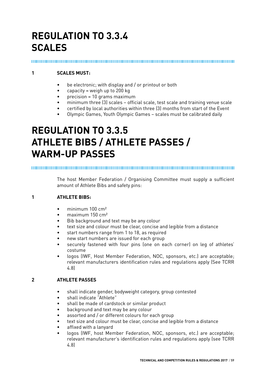## **REGULATION TO 3.3.4 SCALES**

### **1 SCALES MUST:**

- be electronic; with display and / or printout or both
- capacity = weigh up to 200 kg
- precision = 10 grams maximum
- minimum three (3) scales official scale, test scale and training venue scale
- certified by local authorities within three (3) months from start of the Event
- Olympic Games, Youth Olympic Games scales must be calibrated daily

### **REGULATION TO 3.3.5 ATHLETE BIBS / ATHLETE PASSES / WARM-UP PASSES**

The host Member Federation / Organising Committee must supply a sufficient amount of Athlete Bibs and safety pins:

#### **1 ATHLETE BIBS:**

- $\bullet$  minimum 100 cm<sup>2</sup>
- maximum 150 cm²
- Bib background and text may be any colour
- text size and colour must be clear, concise and legible from a distance
- start numbers range from 1 to 18, as required
- new start numbers are issued for each group
- securely fastened with four pins (one on each corner) on leg of athletes' costume
- logos (IWF, Host Member Federation, NOC, sponsors, etc.) are acceptable; relevant manufacturers identification rules and regulations apply (See TCRR 4.8)

#### **2 ATHLETE PASSES**

- shall indicate gender, bodyweight category, group contested
- shall indicate "Athlete"
- shall be made of cardstock or similar product
- background and text may be any colour
- assorted and / or different colours for each group
- text size and colour must be clear, concise and legible from a distance
- affixed with a lanyard
- logos (IWF, host Member Federation, NOC, sponsors, etc.) are acceptable; relevant manufacturer's identification rules and regulations apply (see TCRR 4.8)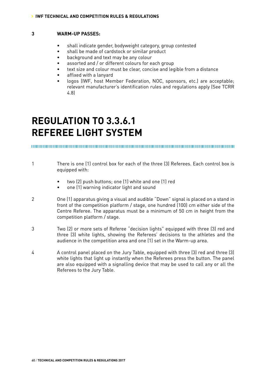#### **3 WARM-UP PASSES:**

- shall indicate gender, bodyweight category, group contested
- shall be made of cardstock or similar product
- background and text may be any colour
- assorted and / or different colours for each group
- text size and colour must be clear, concise and legible from a distance
- affixed with a lanyard
- logos (IWF, host Member Federation, NOC, sponsors, etc.) are acceptable; relevant manufacturer's identification rules and regulations apply (See TCRR 4.8)

### **REGULATION TO 3.3.6.1 REFEREE LIGHT SYSTEM**

- 1 There is one (1) control box for each of the three (3) Referees. Each control box is equipped with:
	- two (2) push buttons; one (1) white and one (1) red
	- one (1) warning indicator light and sound
- 2 One (1) apparatus giving a visual and audible "Down" signal is placed on a stand in front of the competition platform / stage, one hundred (100) cm either side of the Centre Referee. The apparatus must be a minimum of 50 cm in height from the competition platform / stage.
- 3 Two (2) or more sets of Referee "decision lights" equipped with three (3) red and three (3) white lights, showing the Referees' decisions to the athletes and the audience in the competition area and one (1) set in the Warm-up area.
- 4 A control panel placed on the Jury Table, equipped with three (3) red and three (3) white lights that light up instantly when the Referees press the button. The panel are also equipped with a signalling device that may be used to call any or all the Referees to the Jury Table.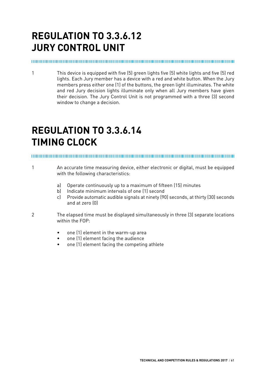## **REGULATION TO 3.3.6.12 JURY CONTROL UNIT**

#### 

1 This device is equipped with five (5) green lights five (5) white lights and five (5) red lights. Each Jury member has a device with a red and white button. When the Jury members press either one (1) of the buttons, the green light illuminates. The white and red Jury decision lights illuminate only when all Jury members have given their decision. The Jury Control Unit is not programmed with a three (3) second window to change a decision.

### **REGULATION TO 3.3.6.14 TIMING CLOCK**

- 1 An accurate time measuring device, either electronic or digital, must be equipped with the following characteristics:
	- a) Operate continuously up to a maximum of fifteen (15) minutes
	- b) Indicate minimum intervals of one (1) second
	- c) Provide automatic audible signals at ninety (90) seconds, at thirty (30) seconds and at zero (0)
- 2 The elapsed time must be displayed simultaneously in three (3) separate locations within the FOP:
	- one (1) element in the warm-up area
	- one (1) element facing the audience
	- one (1) element facing the competing athlete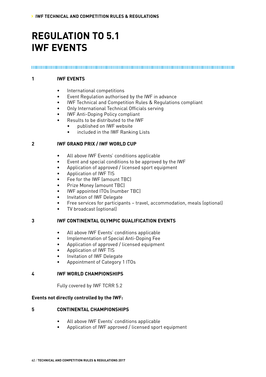### **REGULATION TO 5.1 IWF EVENTS**

#### **1 IWF EVENTS**

- International competitions
- Event Regulation authorised by the IWF in advance
- IWF Technical and Competition Rules & Regulations compliant
- Only International Technical Officials serving
- IWF Anti-Doping Policy compliant
- Results to be distributed to the IWF
	- published on IWF website
	- included in the IWF Ranking Lists

#### **2 IWF GRAND PRIX / IWF WORLD CUP**

- All above IWF Events' conditions applicable
- Event and special conditions to be approved by the IWF
- Application of approved / licensed sport equipment
- Application of IWF TIS
- Fee for the IWF (amount TBC)
- Prize Money (amount TBC)
- IWF appointed ITOs (number TBC)
- Invitation of IWF Delegate
- Free services for participants travel, accommodation, meals (optional)
- TV broadcast (optional)

#### **3 IWF CONTINENTAL OLYMPIC QUALIFICATION EVENTS**

- All above IWF Events' conditions applicable
- Implementation of Special Anti-Doping Fee
- Application of approved / licensed equipment
- Application of IWF TIS
- Invitation of IWF Delegate
- Appointment of Category 1 ITOs

#### **4 IWF WORLD CHAMPIONSHIPS**

Fully covered by IWF TCRR 5.2

#### **Events not directly controlled by the IWF:**

#### **5 CONTINENTAL CHAMPIONSHIPS**

- All above IWF Events' conditions applicable
- Application of IWF approved / licensed sport equipment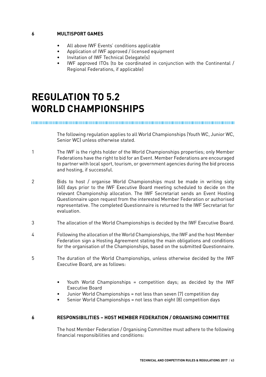#### **6 MULTISPORT GAMES**

- All above IWF Events' conditions applicable
- Application of IWF approved / licensed equipment
- Invitation of IWF Technical Delegate(s)
- IWF approved ITOs (to be coordinated in conjunction with the Continental / Regional Federations, if applicable)

### **REGULATION TO 5.2 WORLD CHAMPIONSHIPS**

,,,,,,,,,,,,,,,,,,,,,,,,,,,,,,,,,,,,, 

> The following regulation applies to all World Championships (Youth WC, Junior WC, Senior WC) unless otherwise stated.

- 1 The IWF is the rights holder of the World Championships properties; only Member Federations have the right to bid for an Event. Member Federations are encouraged to partner with local sport, tourism, or government agencies during the bid process and hosting, if successful.
- 2 Bids to host / organise World Championships must be made in writing sixty (60) days prior to the IWF Executive Board meeting scheduled to decide on the relevant Championship allocation. The IWF Secretariat sends an Event Hosting Questionnaire upon request from the interested Member Federation or authorised representative. The completed Questionnaire is returned to the IWF Secretariat for evaluation.
- 3 The allocation of the World Championships is decided by the IWF Executive Board.
- 4 Following the allocation of the World Championships, the IWF and the host Member Federation sign a Hosting Agreement stating the main obligations and conditions for the organisation of the Championships, based on the submitted Questionnaire.
- 5 The duration of the World Championships, unless otherwise decided by the IWF Executive Board, are as follows:
	- Youth World Championships = competition days; as decided by the IWF Executive Board
	- Junior World Championships = not less than seven (7) competition day
	- Senior World Championships = not less than eight (8) competition days

#### **6 RESPONSIBILITIES – HOST MEMBER FEDERATION / ORGANISING COMMITTEE**

The host Member Federation / Organising Committee must adhere to the following financial responsibilities and conditions: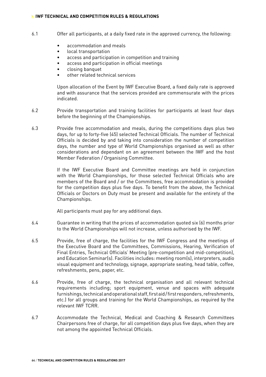- 6.1 Offer all participants, at a daily fixed rate in the approved currency, the following:
	- accommodation and meals
	- local transportation
	- access and participation in competition and training
	- access and participation in official meetings
	- closing banquet
	- other related technical services

Upon allocation of the Event by IWF Executive Board, a fixed daily rate is approved and with assurance that the services provided are commensurate with the prices indicated.

- 6.2 Provide transportation and training facilities for participants at least four days before the beginning of the Championships.
- 6.3 Provide free accommodation and meals, during the competitions days plus two days, for up to forty-five (45) selected Technical Officials. The number of Technical Officials is decided by and taking into consideration the number of competition days, the number and type of World Championships organised as well as other considerations and dependant on an agreement between the IWF and the host Member Federation / Organising Committee.

If the IWF Executive Board and Committee meetings are held in conjunction with the World Championships, for those selected Technical Officials who are members of the Board and / or the Committees, free accommodation is provided for the competition days plus five days. To benefit from the above, the Technical Officials or Doctors on Duty must be present and available for the entirety of the Championships.

All participants must pay for any additional days.

- 6.4 Guarantee in writing that the prices of accommodation quoted six (6) months prior to the World Championships will not increase, unless authorised by the IWF.
- 6.5 Provide, free of charge, the facilities for the IWF Congress and the meetings of the Executive Board and the Committees, Commissions, Hearing, Verification of Final Entries, Technical Officials' Meeting (pre-competition and mid-competition), and Education Seminar(s). Facilities includes: meeting room(s), interpreters, audio visual equipment and technology, signage, appropriate seating, head table, coffee, refreshments, pens, paper, etc.
- 6.6 Provide, free of charge, the technical organisation and all relevant technical requirements including; sport equipment, venue and spaces with adequate furnishings, technical and operational staff, first aid / first responders, refreshments, etc.) for all groups and training for the World Championships, as required by the relevant IWF TCRR.
- 6.7 Accommodate the Technical, Medical and Coaching & Research Committees Chairpersons free of charge, for all competition days plus five days, when they are not among the appointed Technical Officials.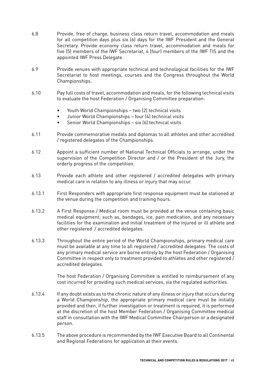- 6.8 Provide, free of charge, business class return travel, accommodation and meals for all competition days plus six (6) days for the IWF President and the General Secretary. Provide economy class return travel, accommodation and meals for five (5) members of the IWF Secretariat, 4 (four) members of the IWF TIS and the appointed IWF Press Delegate.
- 6.9 Provide venues with appropriate technical and technological facilities for the IWF Secretariat to host meetings, courses and the Congress throughout the World Championships.
- 6.10 Pay full costs of travel, accommodation and meals, for the following technical visits to evaluate the host Federation / Organising Committee preparation:
	- Youth World Championships two (2) technical visits
	- Junior World Championships four (4) technical visits
	- Senior World Championships six (6) technical visits
- 6.11 Provide commemorative medals and diplomas to all athletes and other accredited / registered delegates of the Championships.
- 6.12 Appoint a sufficient number of National Technical Officials to arrange, under the supervision of the Competition Director and / or the President of the Jury, the orderly progress of the competition.
- 6.13 Provide each athlete and other registered / accredited delegates with primary medical care in relation to any illness or injury that may occur.
- 6.13.1 First Responders with appropriate first response equipment must be stationed at the venue during the competition and training hours.
- 6.13.2 A First Response / Medical room must be provided at the venue containing basic medical equipment; such as, bandages, ice, pain medication, and any necessary facilities for the examination and initial treatment of the injured or ill athlete and other registered / accredited delegates.
- 6.13.3 Throughout the entire period of the World Championships, primary medical care must be available at any time to all registered / accredited delegates. The costs of any primary medical service are borne entirely by the host Federation / Organising Committee in respect only to treatment provided to athletes and other registered / accredited delegates.

The host Federation / Organising Committee is entitled to reimbursement of any cost incurred for providing such medical services, via the regulated authorities.

- 6.13.4 If any doubt exists as to the chronic nature of any illness or injury that occurs during a World Championship, the appropriate primary medical care must be initially provided and then, if further investigation or treatment is required, it is performed at the discretion of the host Member Federation / Organising Committee medical staff in consultation with the IWF Medical Committee Chairperson or a designated person.
- 6.13.5 The above procedure is recommended by the IWF Executive Board to all Continental and Regional Federations for application at their events.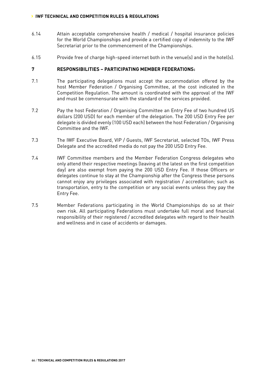- 6.14 Attain acceptable comprehensive health / medical / hospital insurance policies for the World Championships and provide a certified copy of indemnity to the IWF Secretariat prior to the commencement of the Championships.
- 6.15 Provide free of charge high-speed internet both in the venue(s) and in the hotel(s).

#### **7 RESPONSIBILITIES – PARTICIPATING MEMBER FEDERATIONS:**

- 7.1 The participating delegations must accept the accommodation offered by the host Member Federation / Organising Committee, at the cost indicated in the Competition Regulation. The amount is coordinated with the approval of the IWF and must be commensurate with the standard of the services provided.
- 7.2 Pay the host Federation / Organising Committee an Entry Fee of two hundred US dollars (200 USD) for each member of the delegation. The 200 USD Entry Fee per delegate is divided evenly (100 USD each) between the host Federation / Organising Committee and the IWF.
- 7.3 The IWF Executive Board, VIP / Guests, IWF Secretariat, selected TOs, IWF Press Delegate and the accredited media do not pay the 200 USD Entry Fee.
- 7.4 IWF Committee members and the Member Federation Congress delegates who only attend their respective meetings (leaving at the latest on the first competition day) are also exempt from paying the 200 USD Entry Fee. If those Officers or delegates continue to stay at the Championship after the Congress these persons cannot enjoy any privileges associated with registration / accreditation; such as transportation, entry to the competition or any social events unless they pay the Entry Fee.
- 7.5 Member Federations participating in the World Championships do so at their own risk. All participating Federations must undertake full moral and financial responsibility of their registered / accredited delegates with regard to their health and wellness and in case of accidents or damages.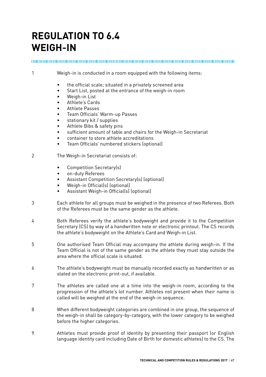## **REGULATION TO 6.4 WEIGH-IN**

#### 

1 Weigh-in is conducted in a room equipped with the following items:

- the official scale; situated in a privately screened area
- Start List, posted at the entrance of the weigh-in room
- Weigh-in List
- Athlete's Cards
- Athlete Passes
- Team Officials' Warm-up Passes
- stationary kit / supplies
- Athlete Bibs & safety pins
- sufficient amount of table and chairs for the Weigh-in Secretariat
- container to store athlete accreditations
- Team Officials' numbered stickers (optional)
- 2 The Weigh-in Secretariat consists of:
	- Competition Secretary(s)
	- on-duty Referees
	- Assistant Competition Secretary(s) (optional)
	- Weigh-in Official(s) (optional)
	- Assistant Weigh-in Official(s) (optional)
- 3 Each athlete for all groups must be weighed in the presence of two Referees. Both of the Referees must be the same gender as the athlete.
- 4 Both Referees verify the athlete's bodyweight and provide it to the Competition Secretary (CS) by way of a handwritten note or electronic printout. The CS records the athlete's bodyweight on the Athlete's Card and Weigh-in List.
- 5 One authorised Team Official may accompany the athlete during weigh-in. If the Team Official is not of the same gender as the athlete they must stay outside the area where the official scale is situated.
- 6 The athlete's bodyweight must be manually recorded exactly as handwritten or as stated on the electronic print-out, if available.
- 7 The athletes are called one at a time into the weigh-in room, according to the progression of the athlete's lot number. Athletes not present when their name is called will be weighed at the end of the weigh-in sequence.
- 8 When different bodyweight categories are combined in one group, the sequence of the weigh-in shall be category-by-category, with the lower category to be weighed before the higher categories.
- 9 Athletes must provide proof of identity by presenting their passport (or English language identity card including Date of Birth for domestic athletes) to the CS. The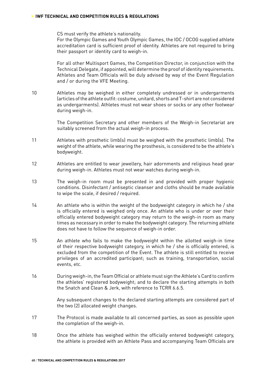CS must verify the athlete's nationality.

For the Olympic Games and Youth Olympic Games, the IOC / OCOG supplied athlete accreditation card is sufficient proof of identity. Athletes are not required to bring their passport or identity card to weigh-in.

For all other Multisport Games, the Competition Director, in conjunction with the Technical Delegate, if appointed, will determine the proof of identity requirements. Athletes and Team Officials will be duly advised by way of the Event Regulation and / or during the VFE Meeting.

10 Athletes may be weighed in either completely undressed or in undergarments (articles of the athlete outfit: costume, unitard, shorts and T-shirt are not considered as undergarments). Athletes must not wear shoes or socks or any other footwear during weigh-in.

> The Competition Secretary and other members of the Weigh-in Secretariat are suitably screened from the actual weigh-in process.

- 11 Athletes with prosthetic limb(s) must be weighed with the prosthetic limb(s). The weight of the athlete, while wearing the prosthesis, is considered to be the athlete's bodyweight.
- 12 Athletes are entitled to wear jewellery, hair adornments and religious head gear during weigh-in. Athletes must not wear watches during weigh-in.
- 13 The weigh-in room must be presented in and provided with proper hygienic conditions. Disinfectant / antiseptic cleanser and cloths should be made available to wipe the scale, if desired / required.
- 14 An athlete who is within the weight of the bodyweight category in which he / she is officially entered is weighed only once. An athlete who is under or over their officially entered bodyweight category may return to the weigh-in room as many times as necessary in order to make the bodyweight category. The returning athlete does not have to follow the sequence of weigh-in order.
- 15 An athlete who fails to make the bodyweight within the allotted weigh-in time of their respective bodyweight category, in which he / she is officially entered, is excluded from the competition of the Event. The athlete is still entitled to receive privileges of an accredited participant; such as training, transportation, social events, etc.
- 16 During weigh-in, the Team Official or athlete must sign the Athlete's Card to confirm the athletes' registered bodyweight; and to declare the starting attempts in both the Snatch and Clean & Jerk, with reference to TCRR 6.6.5.

Any subsequent changes to the declared starting attempts are considered part of the two (2) allocated weight changes.

- 17 The Protocol is made available to all concerned parties, as soon as possible upon the completion of the weigh-in.
- 18 Once the athlete has weighed within the officially entered bodyweight category, the athlete is provided with an Athlete Pass and accompanying Team Officials are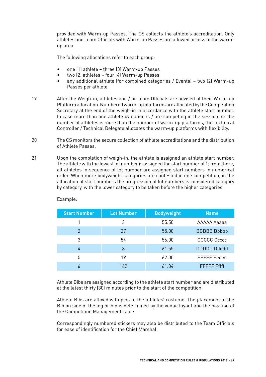provided with Warm-up Passes. The CS collects the athlete's accreditation. Only athletes and Team Officials with Warm-up Passes are allowed access to the warmup area.

The following allocations refer to each group:

- one (1) athlete three (3) Warm-up Passes
- two (2) athletes four (4) Warm-up Passes
- any additional athlete (for combined categories / Events) two (2) Warm-up Passes per athlete
- 19 After the Weigh-in, athletes and / or Team Officials are advised of their Warm-up Platform allocation. Numbered warm-up platforms are allocated by the Competition Secretary at the end of the weigh-in in accordance with the athlete start number. In case more than one athlete by nation is / are competing in the session, or the number of athletes is more than the number of warm-up platforms, the Technical Controller / Technical Delegate allocates the warm-up platforms with flexibility.
- 20 The CS monitors the secure collection of athlete accreditations and the distribution of Athlete Passes.
- 21 Upon the completion of weigh-in, the athlete is assigned an athlete start number. The athlete with the lowest lot number is assigned the start number of 1; from there, all athletes in sequence of lot number are assigned start numbers in numerical order. When more bodyweight categories are contested in one competition, in the allocation of start numbers the progression of lot numbers is considered category by category, with the lower category to be taken before the higher categories.

| <b>Start Number</b> | <b>Lot Number</b> | <b>Bodyweight</b> | <b>Name</b>         |
|---------------------|-------------------|-------------------|---------------------|
|                     | 3                 | 55.50             | AAAAA Aaaaa         |
| 2                   | 27                | 55,00             | <b>BBBBB Bbbbb</b>  |
| 3                   | 54                | 56.00             | CCCCC Ccccc         |
| 4                   | 8                 | 61.55             | <b>DDDDD Ddddd</b>  |
| 5                   | 19                | 62.00             | <b>EEEEE</b> Eeeee  |
|                     | 142               | 61.04             | <b>FFFFFF</b> Fffff |

Example:

Athlete Bibs are assigned according to the athlete start number and are distributed at the latest thirty (30) minutes prior to the start of the competition.

Athlete Bibs are affixed with pins to the athletes' costume. The placement of the Bib on side of the leg or hip is determined by the venue layout and the position of the Competition Management Table.

Correspondingly numbered stickers may also be distributed to the Team Officials for ease of identification for the Chief Marshal.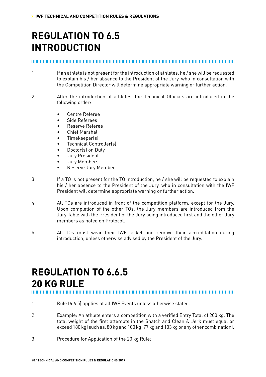### **REGULATION TO 6.5 INTRODUCTION**

#### 

- 1 If an athlete is not present for the introduction of athletes, he / she will be requested to explain his / her absence to the President of the Jury, who in consultation with the Competition Director will determine appropriate warning or further action.
- 2 After the introduction of athletes, the Technical Officials are introduced in the following order:
	- Centre Referee
	- Side Referees
	- Reserve Referee
	- Chief Marshal
	- Timekeeper(s)
	- Technical Controller(s)
	- Doctor(s) on Duty
	- Jury President
	- Jury Members
	- Reserve Jury Member
- 3 If a TO is not present for the TO introduction, he / she will be requested to explain his / her absence to the President of the Jury, who in consultation with the IWF President will determine appropriate warning or further action.
- 4 All TOs are introduced in front of the competition platform, except for the Jury. Upon completion of the other TOs, the Jury members are introduced from the Jury Table with the President of the Jury being introduced first and the other Jury members as noted on Protocol.
- 5 All TOs must wear their IWF jacket and remove their accreditation during introduction, unless otherwise advised by the President of the Jury.

### **REGULATION TO 6.6.5 20 KG RULE**

- 1 Rule (6.6.5) applies at all IWF Events unless otherwise stated.
- 2 Example: An athlete enters a competition with a verified Entry Total of 200 kg. The total weight of the first attempts in the Snatch and Clean & Jerk must equal or exceed 180 kg (such as, 80 kg and 100 kg; 77 kg and 103 kg or any other combination).
- 3 Procedure for Application of the 20 kg Rule: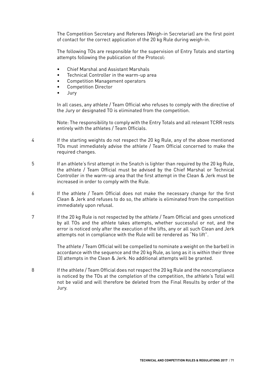The Competition Secretary and Referees (Weigh-in Secretariat) are the first point of contact for the correct application of the 20 kg Rule during weigh-in.

The following TOs are responsible for the supervision of Entry Totals and starting attempts following the publication of the Protocol:

- Chief Marshal and Assistant Marshals
- Technical Controller in the warm-up area
- Competition Management operators
- Competition Director
- Jury

In all cases, any athlete / Team Official who refuses to comply with the directive of the Jury or designated TO is eliminated from the competition.

Note: The responsibility to comply with the Entry Totals and all relevant TCRR rests entirely with the athletes / Team Officials.

- 4 If the starting weights do not respect the 20 kg Rule, any of the above mentioned TOs must immediately advise the athlete / Team Official concerned to make the required changes.
- 5 If an athlete's first attempt in the Snatch is lighter than required by the 20 kg Rule, the athlete / Team Official must be advised by the Chief Marshal or Technical Controller in the warm-up area that the first attempt in the Clean & Jerk must be increased in order to comply with the Rule.
- 6 If the athlete / Team Official does not make the necessary change for the first Clean & Jerk and refuses to do so, the athlete is eliminated from the competition immediately upon refusal.
- 7 If the 20 kg Rule is not respected by the athlete / Team Official and goes unnoticed by all TOs and the athlete takes attempts, whether successful or not, and the error is noticed only after the execution of the lifts, any or all such Clean and Jerk attempts not in compliance with the Rule will be rendered as "No lift".

The athlete / Team Official will be compelled to nominate a weight on the barbell in accordance with the sequence and the 20 kg Rule, as long as it is within their three (3) attempts in the Clean & Jerk. No additional attempts will be granted.

8 If the athlete / Team Official does not respect the 20 kg Rule and the noncompliance is noticed by the TOs at the completion of the competition, the athlete's Total will not be valid and will therefore be deleted from the Final Results by order of the Jury.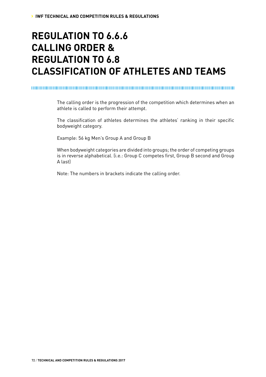## **REGULATION TO 6.6.6 CALLING ORDER & REGULATION TO 6.8 CLASSIFICATION OF ATHLETES AND TEAMS**

#### 

The calling order is the progression of the competition which determines when an athlete is called to perform their attempt.

The classification of athletes determines the athletes' ranking in their specific bodyweight category.

Example: 56 kg Men's Group A and Group B

When bodyweight categories are divided into groups; the order of competing groups is in reverse alphabetical. (i.e.: Group C competes first, Group B second and Group A last)

Note: The numbers in brackets indicate the calling order.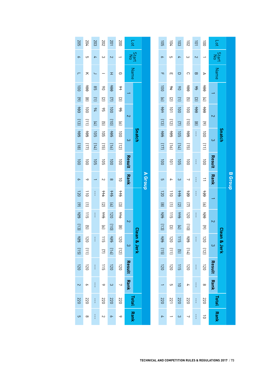| <b>205</b>                         | 204                                                     | 203            | 202            | 201                  | 200              |             | Γoτ         |                                                         | $\overrightarrow{5}$                  | 104                                   | 103                  | $\overline{102}$     | 101                  | $\overline{5}$                                    |                          | Γot           |         |  |
|------------------------------------|---------------------------------------------------------|----------------|----------------|----------------------|------------------|-------------|-------------|---------------------------------------------------------|---------------------------------------|---------------------------------------|----------------------|----------------------|----------------------|---------------------------------------------------|--------------------------|---------------|---------|--|
| $\sigma$                           | C                                                       | $\overline{4}$ | ω              | $\sim$               | د                |             | Start<br>No |                                                         | $\sim$                                | Cл                                    | $\overline{4}$       | ω                    | $\sim$               |                                                   | Start<br>No              |               |         |  |
| ┍                                  | ㅈ                                                       | $\cup$         |                | H                    | ⊕                |             | Name        |                                                         | m                                     | Ш                                     | O                    | C                    | $\infty$             | ⋗                                                 | Name                     |               |         |  |
| $\overline{5}$                     | $\frac{1}{2}$                                           | $\frac{8}{2}$  | $\delta$       | $\frac{1}{\sqrt{2}}$ | $\downarrow$     |             |             |                                                         | 1001                                  | 44                                    | $\delta$             | $\frac{1}{2}$        | Sp                   | $\frac{1}{2}$                                     |                          |               |         |  |
| $\overline{5}$                     | $\circledR$                                             | $\equiv$       | $\overline{2}$ | $\Xi$                | $\Xi$            |             |             |                                                         | $\overline{e}$                        | $\boxed{2}$                           | Ξ                    | $\Xi$                | $\Xi$                | $(\pm)$                                           |                          |               |         |  |
| $\ddot{x}$                         | $\overrightarrow{00}$                                   | $\gamma_4$     | β5             | $\overline{100}$     | ቆ                | $\sim$      | Snatch      |                                                         | $\ddagger$                            | $\overrightarrow{01}$                 | 1001                 | 100                  | $\frac{1}{\sqrt{2}}$ | $\frac{1}{\sqrt{2}}$                              |                          |               |         |  |
| (13)                               | $\begin{array}{c} \boxed{11} \\ \boxed{11} \end{array}$ | $\boxed{4}$    | $\Xi$          | $[01]$               | $\circ$          |             |             |                                                         | (13)                                  | $[12]$                                | $\Xi$                | $[0]$                | $\Xi$                | $\overline{5}$                                    | $\overline{\mathcal{C}}$ |               |         |  |
| $\frac{1}{2}$                      | $\frac{1}{2}$                                           | 105            | 105            | $\frac{1}{2}$        | $\overline{00}$  |             |             |                                                         | $\frac{1}{2}$                         | $\ddot{\mathbf{g}}$                   | 105                  | $\frac{1}{2}$        | Ť                    | $\overrightarrow{00}$                             |                          | <b>Snatch</b> |         |  |
| $\left[\frac{1}{18}\right]$        | $[11]$                                                  | $[71]$         | $\Xi$          | (91)                 | $[12]$           | $\omega$    |             |                                                         | $[11]$                                | $\begin{bmatrix} 1 & 6 \end{bmatrix}$ | (14)                 | $\Xi$                |                      | $\begin{array}{c} \square \\ \square \end{array}$ | $\tilde{\omega}$         |               |         |  |
| $\overline{100}$                   | $\overline{001}$                                        | 105            | 105            | $\overline{00}$      | $\overline{001}$ | Result      |             |                                                         | 1001                                  | $\overrightarrow{01}$                 | 105                  | $\overrightarrow{0}$ | ł                    | $\overline{001}$                                  | Result                   |               |         |  |
| $\sigma$                           | ∘                                                       | $\rightarrow$  | $\sim$         | $\infty$             | $\vec{0}$        | <b>Rank</b> |             | A Group                                                 | CΠ                                    | 4                                     | $\omega$             | 7                    | ł                    | $\equiv$                                          | <b>Rank</b>              |               | B Group |  |
| 120                                | 110                                                     | ł              | $\sharp$       | $\sharp$             | $\sharp$         |             |             |                                                         | 021                                   | 110                                   | $\sharp$             | 021                  | ł                    | $65+$                                             |                          |               |         |  |
| $\overline{5}$                     | $\equiv$                                                |                | $\overline{c}$ | $\boxed{4}$          | $\Xi$            |             |             |                                                         | $\circledR$                           | Ξ                                     | $\boxed{\text{2}}$   | $\Xi$                |                      | $\overline{\mathfrak{S}}$                         |                          |               |         |  |
| 425                                | 112                                                     | ł              | $\sharp$       | 120                  | #                |             |             |                                                         | 525                                   | $\frac{1}{2}$                         | $\sharp$             | 120                  | Ť                    | 43                                                |                          |               |         |  |
| (13)                               | $\Xi$                                                   |                | $\overline{e}$ | $[01]$               | $\circledR$      | $\sim$      | Cleal       |                                                         | $\begin{bmatrix} 1 & 3 \end{bmatrix}$ | $\Xi$                                 | $\boxed{4}$          | $\Xi$                |                      | $\overline{5}$                                    | $\sim$                   | Cleal         |         |  |
| $\ddot{x}$                         | 021                                                     | ł              | 115            | 525                  | 120              |             | ∍           |                                                         | 522                                   | 120                                   | $\overline{5}$       | 525                  | ł                    | <b>N20</b>                                        |                          |               |         |  |
| $\begin{bmatrix} 15 \end{bmatrix}$ | $\Xi$                                                   |                | $\Xi$          | $[14]$               | $[12]$           | $\omega$    | & Jerk      |                                                         | $[5]$                                 | $\Xi$                                 | $\overline{\Xi}$     | (14)                 |                      | (12)                                              | $\omega$                 | n & Jerk      |         |  |
| 120                                | 120                                                     | ł              | $\frac{1}{2}$  | 120                  | 120              | Result      |             |                                                         | 120                                   | 120                                   | 115                  | 120                  | ŧ                    | 120                                               | Result                   |               |         |  |
| $\sim$                             | q                                                       | ł              | P              | $\omega$             | N                | <b>Rank</b> |             |                                                         | →                                     | C                                     | $\overrightarrow{a}$ | 4                    | ł                    | $\infty$                                          | Rank                     |               |         |  |
| 0ZZ                                | 0ZZ                                                     | ł              | 0ZZ            | 022                  | 0ZZ              | Total       |             |                                                         | 022                                   | 123                                   | 022                  | 0ZZ                  | ł                    | 0ZZ                                               | Total                    |               |         |  |
| C                                  | $^{\circ}$                                              | i              | $\sim$         | $\sim$               | ╰                | Rank        |             |                                                         | 4                                     |                                       | $\omega$             | ┙                    | ł                    | $\vec{0}$                                         | Rank                     |               |         |  |
|                                    |                                                         |                |                |                      |                  |             |             | TECHNICAL AND COMPETITION RULES & REGULATIONS 2017 / 73 |                                       |                                       |                      |                      |                      |                                                   |                          |               |         |  |

 $\Box$ 

(13)

 $\circ$ 

125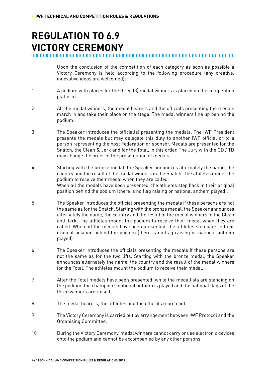## **REGULATION TO 6.9 VICTORY CEREMONY**

Upon the conclusion of the competition of each category as soon as possible a Victory Ceremony is held according to the following procedure (any creative, innovative ideas are welcomed):

- 1 A podium with places for the three (3) medal winners is placed on the competition platform.
- 2 All the medal winners, the medal bearers and the officials presenting the medals march in and take their place on the stage. The medal winners line up behind the podium.
- 3 The Speaker introduces the official(s) presenting the medals. The IWF President presents the medals but may delegate this duty to another IWF official or to a person representing the host Federation or sponsor. Medals are presented for the Snatch, the Clean & Jerk and for the Total, in this order. The Jury with the CD / TD may change the order of the presentation of medals.
- 4 Starting with the bronze medal, the Speaker announces alternately the name, the country and the result of the medal winners in the Snatch. The athletes mount the podium to receive their medal when they are called. When all the medals have been presented, the athletes step back in their original position behind the podium (there is no flag raising or national anthem played).
- 5 The Speaker introduces the official presenting the medals if these persons are not the same as for the Snatch. Starting with the bronze medal, the Speaker announces alternately the name, the country and the result of the medal winners in the Clean and Jerk. The athletes mount the podium to receive their medal when they are called. When all the medals have been presented, the athletes step back in their original position behind the podium (there is no flag raising or national anthem played).
- 6 The Speaker introduces the officials presenting the medals if these persons are not the same as for the two lifts. Starting with the bronze medal, the Speaker announces alternately the name, the country and the result of the medal winners for the Total. The athletes mount the podium to receive their medal.
- 7 After the Total medals have been presented, while the medallists are standing on the podium, the champion's national anthem is played and the national flags of the three winners are raised.
- 8 The medal bearers, the athletes and the officials march out.
- 9 The Victory Ceremony is carried out by arrangement between IWF Protocol and the Organising Committee.
- 10 During the Victory Ceremony, medal winners cannot carry or use electronic devices onto the podium and cannot be accompanied by any other persons.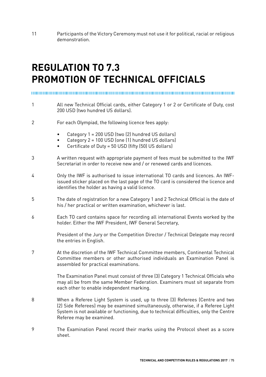11 Participants of the Victory Ceremony must not use it for political, racial or religious demonstration.

# **REGULATION TO 7.3 PROMOTION OF TECHNICAL OFFICIALS**

,,,,,,,,,,,,,,,,,,,,,,,,,,,,,,,,, 

- 1 All new Technical Official cards, either Category 1 or 2 or Certificate of Duty, cost 200 USD (two hundred US dollars).
- 2 For each Olympiad, the following licence fees apply:
	- Category 1 = 200 USD (two (2) hundred US dollars)
	- Category 2 = 100 USD (one (1) hundred US dollars)
	- Certificate of Duty = 50 USD (fifty (50) US dollars)
- 3 A written request with appropriate payment of fees must be submitted to the IWF Secretariat in order to receive new and / or renewed cards and licences.
- 4 Only the IWF is authorised to issue international TO cards and licences. An IWFissued sticker placed on the last page of the TO card is considered the licence and identifies the holder as having a valid licence.
- 5 The date of registration for a new Category 1 and 2 Technical Official is the date of his / her practical or written examination, whichever is last.
- 6 Each TO card contains space for recording all international Events worked by the holder. Either the IWF President, IWF General Secretary,

President of the Jury or the Competition Director / Technical Delegate may record the entries in English.

7 At the discretion of the IWF Technical Committee members, Continental Technical Committee members or other authorised individuals an Examination Panel is assembled for practical examinations.

> The Examination Panel must consist of three (3) Category 1 Technical Officials who may all be from the same Member Federation. Examiners must sit separate from each other to enable independent marking.

- 8 When a Referee Light System is used, up to three (3) Referees (Centre and two (2) Side Referees) may be examined simultaneously, otherwise, if a Referee Light System is not available or functioning, due to technical difficulties, only the Centre Referee may be examined.
- 9 The Examination Panel record their marks using the Protocol sheet as a score sheet.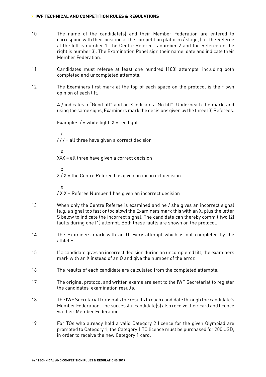#### **› IWF TECHNICAL AND COMPETITION RULES & REGULATIONS**

- 10 The name of the candidate(s) and their Member Federation are entered to correspond with their position at the competition platform / stage, (i.e. the Referee at the left is number 1, the Centre Referee is number 2 and the Referee on the right is number 3). The Examination Panel sign their name, date and indicate their Member Federation.
- 11 Candidates must referee at least one hundred (100) attempts, including both completed and uncompleted attempts.
- 12 The Examiners first mark at the top of each space on the protocol is their own opinion of each lift.

A / indicates a "Good lift" and an X indicates "No lift". Underneath the mark, and using the same signs, Examiners mark the decisions given by the three (3) Referees.

Example: 
$$
f
$$
 = white light  $X$  = red light

\n $f/f$  = all three have given a correct decision

\n $X$ 

\n $XX =$  all three have given a correct decision

\n $X$ 

\n $XX =$  all three have given a correct decision

\n $X$ 

\n $XX =$  the Centre Reference has given an incorrect decision

\n $X$ 

\n $XX =$  Reference Number 1 has given an incorrect decision

\nWhen only the Centre Reference is examined and he  $f$  she gives an incorrect signal (e.g., a signal too fast or too slow) the Examiners mark this with an  $X$ , plus the letter S below to indicate the incorrect signal. The candidate can thereby commit two (2) faults during one (1) attempt. Both these faults are shown on the protocol.

\nThe Examiners mark with an O every attempt which is not completed by the alleles.

\nIf a candidate gives an incorrect decision during an uncompleted lift, the examiners mark with an  $X$  instead of an O and give the number of the error.

\nThe results of each candidate are calculated from the completed attempts.

\nThe original protocol and written exams are sent to the IWF Secretariat to register the candidates' examination results.

\nThe IWF Secretariat transmits the results to each candidate through the candidate's Member Federation. The successful candidates| also receive their card and licence via their Member Federation.

\nFor TOs who already hold a valid Categy 2 license for the given Olympiad are promoted to category 1. The Category 1. To licence must be purchased for 200 USD, in order to receive the new Category 1. To.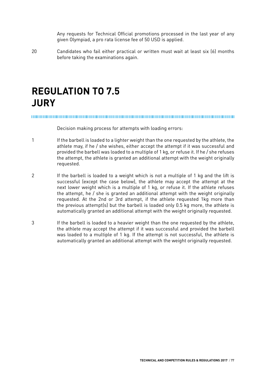Any requests for Technical Official promotions processed in the last year of any given Olympiad, a pro rata license fee of 50 USD is applied.

20 Candidates who fail either practical or written must wait at least six (6) months before taking the examinations again.

### **REGULATION TO 7.5 JURY**

Decision making process for attempts with loading errors:

- 1 If the barbell is loaded to a lighter weight than the one requested by the athlete, the athlete may, if he / she wishes, either accept the attempt if it was successful and provided the barbell was loaded to a multiple of 1 kg, or refuse it. If he / she refuses the attempt, the athlete is granted an additional attempt with the weight originally requested.
- 2 If the barbell is loaded to a weight which is not a multiple of 1 kg and the lift is successful (except the case below), the athlete may accept the attempt at the next lower weight which is a multiple of 1 kg, or refuse it. If the athlete refuses the attempt, he / she is granted an additional attempt with the weight originally requested. At the 2nd or 3rd attempt, if the athlete requested 1kg more than the previous attempt(s) but the barbell is loaded only 0.5 kg more, the athlete is automatically granted an additional attempt with the weight originally requested.
- 3 If the barbell is loaded to a heavier weight than the one requested by the athlete, the athlete may accept the attempt if it was successful and provided the barbell was loaded to a multiple of 1 kg. If the attempt is not successful, the athlete is automatically granted an additional attempt with the weight originally requested.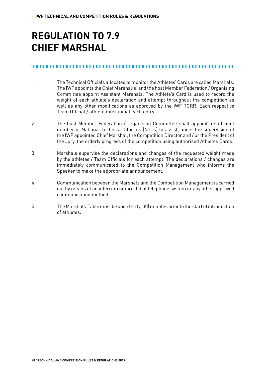### **REGULATION TO 7.9 CHIEF MARSHAL**

#### 

- 1 The Technical Officials allocated to monitor the Athletes' Cards are called Marshals. The IWF appoints the Chief Marshal(s) and the host Member Federation / Organising Committee appoint Assistant Marshals. The Athlete's Card is used to record the weight of each athlete's declaration and attempt throughout the competition as well as any other modifications as approved by the IWF TCRR. Each respective Team Official / athlete must initial each entry.
- 2 The host Member Federation / Organising Committee shall appoint a sufficient number of National Technical Officials (NTOs) to assist, under the supervision of the IWF appointed Chief Marshal, the Competition Director and / or the President of the Jury, the orderly progress of the competition using authorised Athletes Cards.
- 3 Marshals supervise the declarations and changes of the requested weight made by the athletes / Team Officials for each attempt. The declarations / changes are immediately communicated to the Competition Management who informs the Speaker to make the appropriate announcement.
- 4 Communication between the Marshals and the Competition Management is carried out by means of an intercom or direct dial telephone system or any other approved communication method.
- 5 The Marshals' Table must be open thirty (30) minutes prior to the start of introduction of athletes.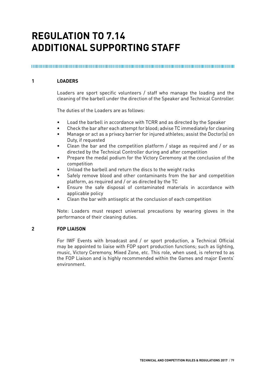## **REGULATION TO 7.14 ADDITIONAL SUPPORTING STAFF**

#### **1 LOADERS**

Loaders are sport specific volunteers / staff who manage the loading and the cleaning of the barbell under the direction of the Speaker and Technical Controller.

The duties of the Loaders are as follows:

- Load the barbell in accordance with TCRR and as directed by the Speaker
- Check the bar after each attempt for blood; advise TC immediately for cleaning
- Manage or act as a privacy barrier for injured athletes; assist the Doctor(s) on Duty, if requested
- Clean the bar and the competition platform / stage as required and / or as directed by the Technical Controller during and after competition
- Prepare the medal podium for the Victory Ceremony at the conclusion of the competition
- Unload the barbell and return the discs to the weight racks
- Safely remove blood and other contaminants from the bar and competition platform, as required and / or as directed by the TC
- Ensure the safe disposal of contaminated materials in accordance with applicable policy
- Clean the bar with antiseptic at the conclusion of each competition

Note: Loaders must respect universal precautions by wearing gloves in the performance of their cleaning duties.

#### **2 FOP LIAISON**

For IWF Events with broadcast and / or sport production, a Technical Official may be appointed to liaise with FOP sport production functions; such as lighting, music, Victory Ceremony, Mixed Zone, etc. This role, when used, is referred to as the FOP Liaison and is highly recommended within the Games and major Events' environment.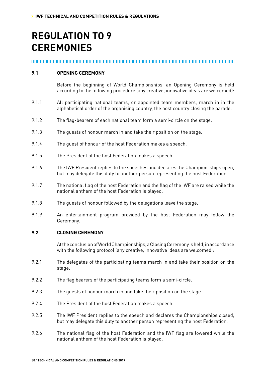# **REGULATION TO 9 CEREMONIES**

#### 

#### **9.1 OPENING CEREMONY**

Before the beginning of World Championships, an Opening Ceremony is held according to the following procedure (any creative, innovative ideas are welcomed):

- 9.1.1 All participating national teams, or appointed team members, march in in the alphabetical order of the organising country, the host country closing the parade.
- 9.1.2 The flag-bearers of each national team form a semi-circle on the stage.
- 9.1.3 The guests of honour march in and take their position on the stage.
- 9.1.4 The guest of honour of the host Federation makes a speech.
- 9.1.5 The President of the host Federation makes a speech.
- 9.1.6 The IWF President replies to the speeches and declares the Champion-ships open, but may delegate this duty to another person representing the host Federation.
- 9.1.7 The national flag of the host Federation and the flag of the IWF are raised while the national anthem of the host Federation is played.
- 9.1.8 The guests of honour followed by the delegations leave the stage.
- 9.1.9 An entertainment program provided by the host Federation may follow the Ceremony.

#### **9.2 CLOSING CEREMONY**

At the conclusion of World Championships, a Closing Ceremony is held, in accordance with the following protocol (any creative, innovative ideas are welcomed):

- 9.2.1 The delegates of the participating teams march in and take their position on the stage.
- 9.2.2 The flag bearers of the participating teams form a semi-circle.
- 9.2.3 The guests of honour march in and take their position on the stage.
- 9.2.4 The President of the host Federation makes a speech.
- 9.2.5 The IWF President replies to the speech and declares the Championships closed, but may delegate this duty to another person representing the host Federation.
- 9.2.6 The national flag of the host Federation and the IWF flag are lowered while the national anthem of the host Federation is played.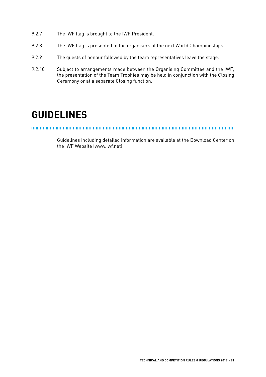- 9.2.7 The IWF flag is brought to the IWF President.
- 9.2.8 The IWF flag is presented to the organisers of the next World Championships.
- 9.2.9 The guests of honour followed by the team representatives leave the stage.
- 9.2.10 Subject to arrangements made between the Organising Committee and the IWF, the presentation of the Team Trophies may be held in conjunction with the Closing Ceremony or at a separate Closing function.

### **GUIDELINES**

Guidelines including detailed information are available at the Download Center on the IWF Website (www.iwf.net)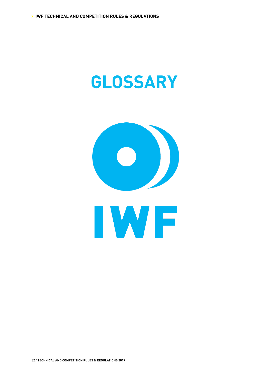# **GLOSSARY**